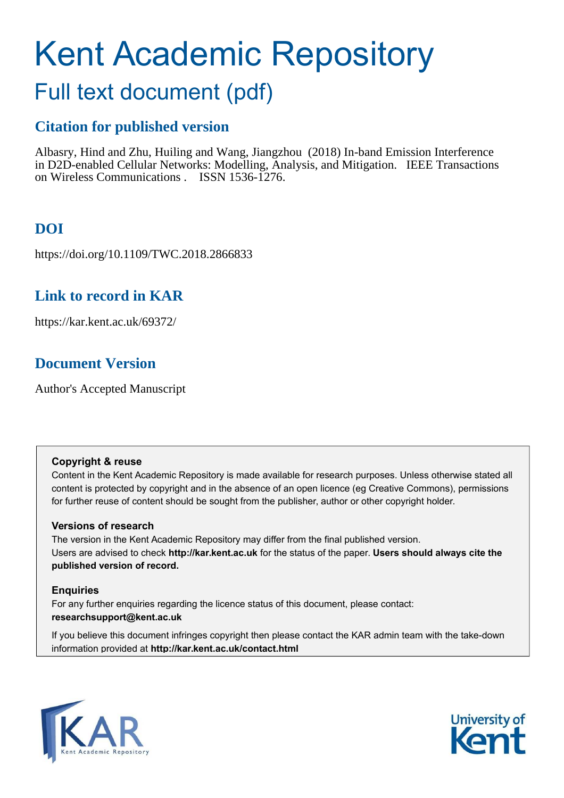# Kent Academic Repository

# Full text document (pdf)

## **Citation for published version**

Albasry, Hind and Zhu, Huiling and Wang, Jiangzhou (2018) In-band Emission Interference in D2D-enabled Cellular Networks: Modelling, Analysis, and Mitigation. IEEE Transactions on Wireless Communications . ISSN 1536-1276.

## **DOI**

https://doi.org/10.1109/TWC.2018.2866833

### **Link to record in KAR**

https://kar.kent.ac.uk/69372/

## **Document Version**

Author's Accepted Manuscript

#### **Copyright & reuse**

Content in the Kent Academic Repository is made available for research purposes. Unless otherwise stated all content is protected by copyright and in the absence of an open licence (eg Creative Commons), permissions for further reuse of content should be sought from the publisher, author or other copyright holder.

#### **Versions of research**

The version in the Kent Academic Repository may differ from the final published version. Users are advised to check **http://kar.kent.ac.uk** for the status of the paper. **Users should always cite the published version of record.**

#### **Enquiries**

For any further enquiries regarding the licence status of this document, please contact: **researchsupport@kent.ac.uk**

If you believe this document infringes copyright then please contact the KAR admin team with the take-down information provided at **http://kar.kent.ac.uk/contact.html**



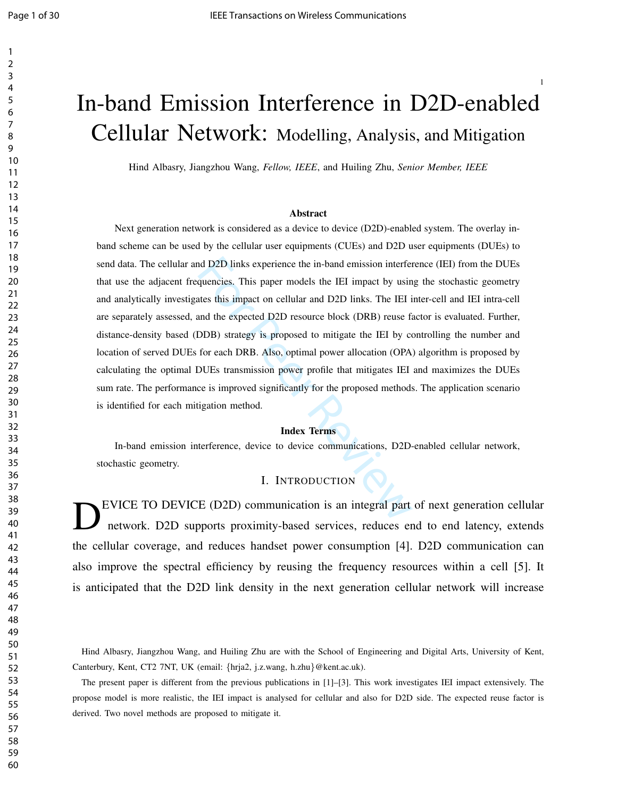# In-band Emission Interference in D2D-enabled Cellular Network: Modelling, Analysis, and Mitigation

Hind Albasry, Jiangzhou Wang, *Fellow, IEEE*, and Huiling Zhu, *Senior Member, IEEE*

#### Abstract

nd D2D links experience the in-band emission interfer<br>quencies. This paper models the IEI impact by usin<br>tes this impact on cellular and D2D links. The IEI i<br>and the expected D2D resource block (DRB) reuse fa<br>DDB) strategy Next generation network is considered as a device to device (D2D)-enabled system. The overlay inband scheme can be used by the cellular user equipments (CUEs) and D2D user equipments (DUEs) to send data. The cellular and D2D links experience the in-band emission interference (IEI) from the DUEs that use the adjacent frequencies. This paper models the IEI impact by using the stochastic geometry and analytically investigates this impact on cellular and D2D links. The IEI inter-cell and IEI intra-cell are separately assessed, and the expected D2D resource block (DRB) reuse factor is evaluated. Further, distance-density based (DDB) strategy is proposed to mitigate the IEI by controlling the number and location of served DUEs for each DRB. Also, optimal power allocation (OPA) algorithm is proposed by calculating the optimal DUEs transmission power profile that mitigates IEI and maximizes the DUEs sum rate. The performance is improved significantly for the proposed methods. The application scenario is identified for each mitigation method.

#### Index Terms

In-band emission interference, device to device communications, D2D-enabled cellular network, stochastic geometry.

#### I. INTRODUCTION

D EVICE TO DEVICE (D2D) communication is an integral part of next generation cellular network. D2D supports proximity-based services, reduces end to end latency, extends the cellular coverage, and reduces handset power consumption [4]. D2D communication can also improve the spectral efficiency by reusing the frequency resources within a cell [5]. It is anticipated that the D2D link density in the next generation cellular network will increase

Hind Albasry, Jiangzhou Wang, and Huiling Zhu are with the School of Engineering and Digital Arts, University of Kent, Canterbury, Kent, CT2 7NT, UK (email: {hrja2, j.z.wang, h.zhu}@kent.ac.uk).

The present paper is different from the previous publications in [1]–[3]. This work investigates IEI impact extensively. The propose model is more realistic, the IEI impact is analysed for cellular and also for D2D side. The expected reuse factor is derived. Two novel methods are proposed to mitigate it.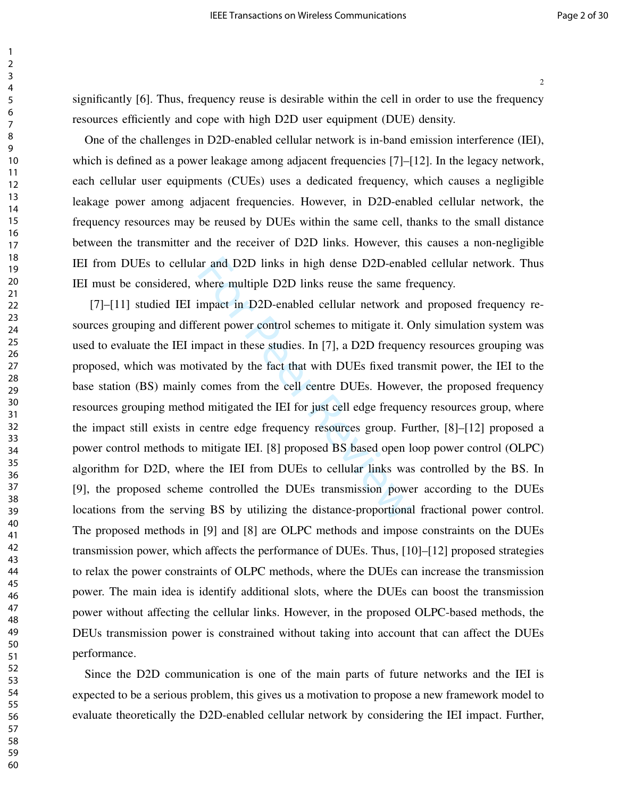significantly [6]. Thus, frequency reuse is desirable within the cell in order to use the frequency resources efficiently and cope with high D2D user equipment (DUE) density.

One of the challenges in D2D-enabled cellular network is in-band emission interference (IEI), which is defined as a power leakage among adjacent frequencies [7]–[12]. In the legacy network, each cellular user equipments (CUEs) uses a dedicated frequency, which causes a negligible leakage power among adjacent frequencies. However, in D2D-enabled cellular network, the frequency resources may be reused by DUEs within the same cell, thanks to the small distance between the transmitter and the receiver of D2D links. However, this causes a non-negligible IEI from DUEs to cellular and D2D links in high dense D2D-enabled cellular network. Thus IEI must be considered, where multiple D2D links reuse the same frequency.

ar and D2D links in high dense D2D-enablement where multiple D2D links reuse the same frequent in D2D-enabled cellular network and event power control schemes to mitigate it. Compact in these studies. In [7], a D2D frequen [7]–[11] studied IEI impact in D2D-enabled cellular network and proposed frequency resources grouping and different power control schemes to mitigate it. Only simulation system was used to evaluate the IEI impact in these studies. In [7], a D2D frequency resources grouping was proposed, which was motivated by the fact that with DUEs fixed transmit power, the IEI to the base station (BS) mainly comes from the cell centre DUEs. However, the proposed frequency resources grouping method mitigated the IEI for just cell edge frequency resources group, where the impact still exists in centre edge frequency resources group. Further, [8]–[12] proposed a power control methods to mitigate IEI. [8] proposed BS based open loop power control (OLPC) algorithm for D2D, where the IEI from DUEs to cellular links was controlled by the BS. In [9], the proposed scheme controlled the DUEs transmission power according to the DUEs locations from the serving BS by utilizing the distance-proportional fractional power control. The proposed methods in [9] and [8] are OLPC methods and impose constraints on the DUEs transmission power, which affects the performance of DUEs. Thus, [10]–[12] proposed strategies to relax the power constraints of OLPC methods, where the DUEs can increase the transmission power. The main idea is identify additional slots, where the DUEs can boost the transmission power without affecting the cellular links. However, in the proposed OLPC-based methods, the DEUs transmission power is constrained without taking into account that can affect the DUEs performance.

Since the D2D communication is one of the main parts of future networks and the IEI is expected to be a serious problem, this gives us a motivation to propose a new framework model to evaluate theoretically the D2D-enabled cellular network by considering the IEI impact. Further,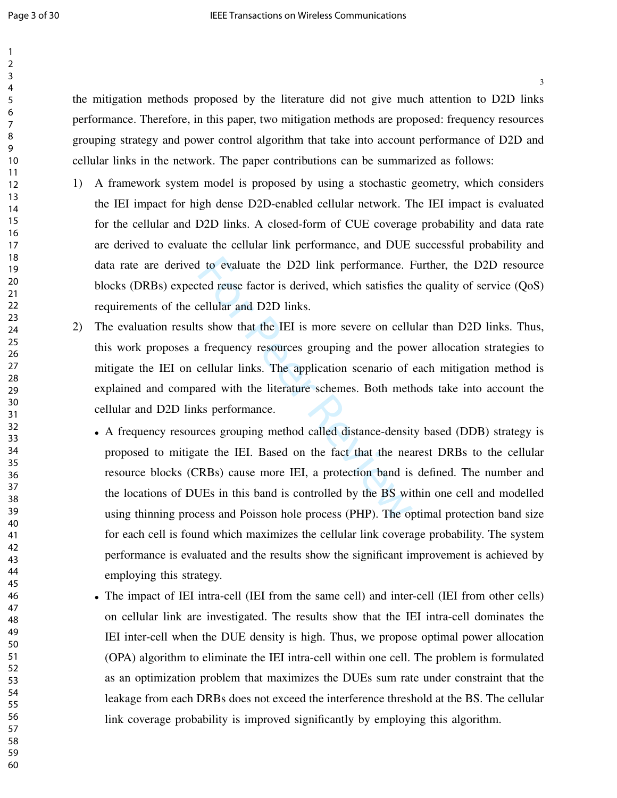the mitigation methods proposed by the literature did not give much attention to D2D links performance. Therefore, in this paper, two mitigation methods are proposed: frequency resources grouping strategy and power control algorithm that take into account performance of D2D and cellular links in the network. The paper contributions can be summarized as follows:

- 1) A framework system model is proposed by using a stochastic geometry, which considers the IEI impact for high dense D2D-enabled cellular network. The IEI impact is evaluated for the cellular and D2D links. A closed-form of CUE coverage probability and data rate are derived to evaluate the cellular link performance, and DUE successful probability and data rate are derived to evaluate the D2D link performance. Further, the D2D resource blocks (DRBs) expected reuse factor is derived, which satisfies the quality of service (QoS) requirements of the cellular and D2D links.
- 2) The evaluation results show that the IEI is more severe on cellular than D2D links. Thus, this work proposes a frequency resources grouping and the power allocation strategies to mitigate the IEI on cellular links. The application scenario of each mitigation method is explained and compared with the literature schemes. Both methods take into account the cellular and D2D links performance.
- I to evaluate the D2D link performance. I<br>ted reuse factor is derived, which satisfies th<br>rellular and D2D links.<br>s show that the IEI is more severe on cellu<br>frequency resources grouping and the pov<br>cellular links. The app • A frequency resources grouping method called distance-density based (DDB) strategy is proposed to mitigate the IEI. Based on the fact that the nearest DRBs to the cellular resource blocks (CRBs) cause more IEI, a protection band is defined. The number and the locations of DUEs in this band is controlled by the BS within one cell and modelled using thinning process and Poisson hole process (PHP). The optimal protection band size for each cell is found which maximizes the cellular link coverage probability. The system performance is evaluated and the results show the significant improvement is achieved by employing this strategy.
	- The impact of IEI intra-cell (IEI from the same cell) and inter-cell (IEI from other cells) on cellular link are investigated. The results show that the IEI intra-cell dominates the IEI inter-cell when the DUE density is high. Thus, we propose optimal power allocation (OPA) algorithm to eliminate the IEI intra-cell within one cell. The problem is formulated as an optimization problem that maximizes the DUEs sum rate under constraint that the leakage from each DRBs does not exceed the interference threshold at the BS. The cellular link coverage probability is improved significantly by employing this algorithm.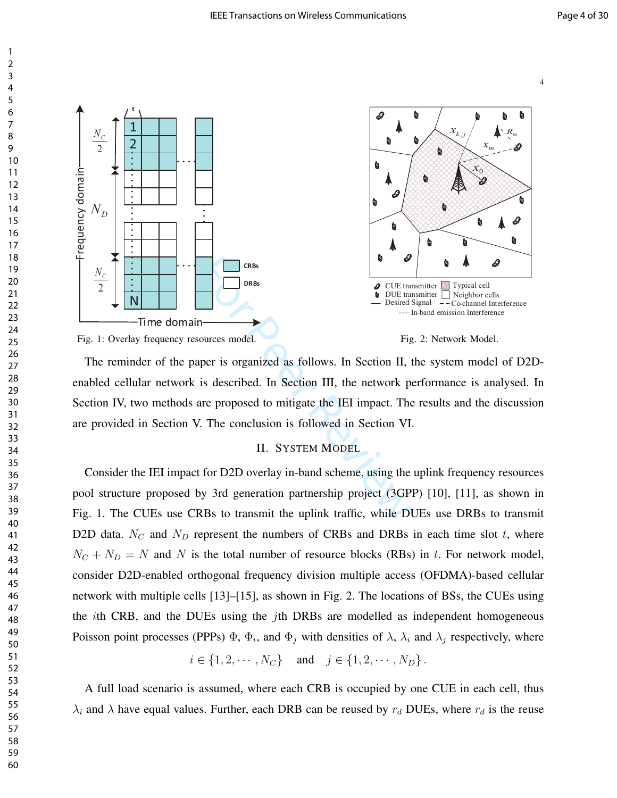

The reminder of the paper is organized as follows. In Section II, the system model of D2Denabled cellular network is described. In Section III, the network performance is analysed. In Section IV, two methods are proposed to mitigate the IEI impact. The results and the discussion

are provided in Section V. The conclusion is followed in Section VI.

#### II. SYSTEM MODEL

Consider the IEI impact for D2D overlay in-band scheme, using the uplink frequency resources pool structure proposed by 3rd generation partnership project (3GPP) [10], [11], as shown in Fig. 1. The CUEs use CRBs to transmit the uplink traffic, while DUEs use DRBs to transmit D2D data.  $N_C$  and  $N_D$  represent the numbers of CRBs and DRBs in each time slot t, where  $N_c + N_D = N$  and N is the total number of resource blocks (RBs) in t. For network model, consider D2D-enabled orthogonal frequency division multiple access (OFDMA)-based cellular network with multiple cells [13]–[15], as shown in Fig. 2. The locations of BSs, the CUEs using the *i*th CRB, and the DUEs using the *j*th DRBs are modelled as independent homogeneous Poisson point processes (PPPs)  $\Phi$ ,  $\Phi$ <sub>i</sub>, and  $\Phi$ <sub>j</sub> with densities of  $\lambda$ ,  $\lambda$ <sub>i</sub> and  $\lambda$ <sub>j</sub> respectively, where

 $i \in \{1, 2, \cdots, N_C\}$  and  $j \in \{1, 2, \cdots, N_D\}$ .

A full load scenario is assumed, where each CRB is occupied by one CUE in each cell, thus  $\lambda_i$  and  $\lambda$  have equal values. Further, each DRB can be reused by  $r_d$  DUEs, where  $r_d$  is the reuse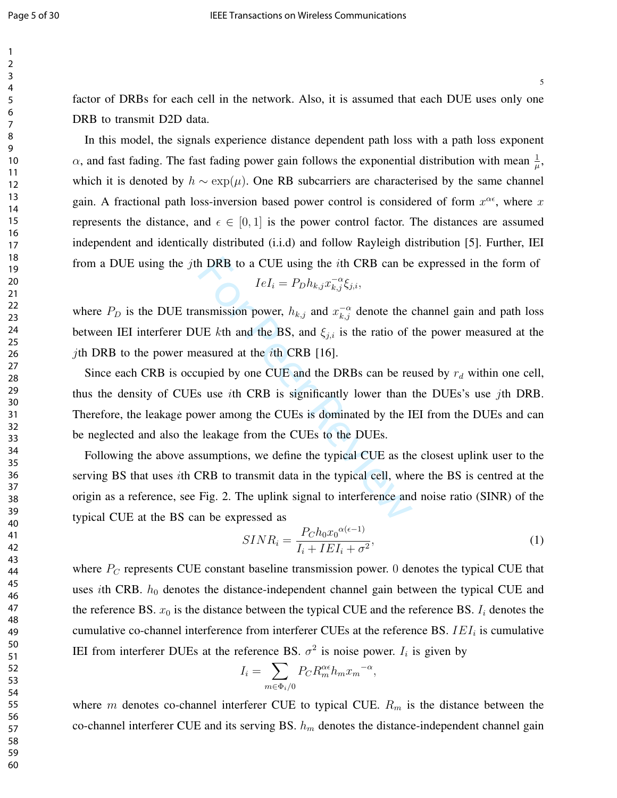factor of DRBs for each cell in the network. Also, it is assumed that each DUE uses only one DRB to transmit D2D data.

In this model, the signals experience distance dependent path loss with a path loss exponent  $\alpha$ , and fast fading. The fast fading power gain follows the exponential distribution with mean  $\frac{1}{\mu}$ , which it is denoted by  $h \sim \exp(\mu)$ . One RB subcarriers are characterised by the same channel gain. A fractional path loss-inversion based power control is considered of form  $x^{\alpha \epsilon}$ , where x represents the distance, and  $\epsilon \in [0, 1]$  is the power control factor. The distances are assumed independent and identically distributed (i.i.d) and follow Rayleigh distribution [5]. Further, IEI from a DUE using the jth DRB to a CUE using the ith CRB can be expressed in the form of  $-\alpha$ 

$$
IeI_i = P_D h_{k,j} x_{k,j}^{-\alpha} \xi_{j,i},
$$

where  $P_D$  is the DUE transmission power,  $h_{k,j}$  and  $x_{k,j}^{-\alpha}$  denote the channel gain and path loss between IEI interferer DUE kth and the BS, and  $\xi_{i,i}$  is the ratio of the power measured at the *j*th DRB to the power measured at the *i*th CRB [16].

In DRB to a CUE using the *i*th CRB can be<br>  $IeI_i = P_Dh_{k,j}x_{k,j}^{-\alpha} \xi_{j,i}$ ,<br>
insmission power,  $h_{k,j}$  and  $x_{k,j}^{-\alpha}$  denote the of<br>
UE *k*th and the BS, and  $\xi_{j,i}$  is the ratio of the<br>
easured at the *i*th CRB [16].<br>
u Since each CRB is occupied by one CUE and the DRBs can be reused by  $r_d$  within one cell, thus the density of CUEs use ith CRB is significantly lower than the DUEs's use jth DRB. Therefore, the leakage power among the CUEs is dominated by the IEI from the DUEs and can be neglected and also the leakage from the CUEs to the DUEs.

Following the above assumptions, we define the typical CUE as the closest uplink user to the serving BS that uses ith CRB to transmit data in the typical cell, where the BS is centred at the origin as a reference, see Fig. 2. The uplink signal to interference and noise ratio (SINR) of the typical CUE at the BS can be expressed as

$$
SINR_i = \frac{P_C h_0 x_0^{\alpha(\epsilon - 1)}}{I_i + IEI_i + \sigma^2},\tag{1}
$$

where  $P_C$  represents CUE constant baseline transmission power. 0 denotes the typical CUE that uses *i*th CRB.  $h_0$  denotes the distance-independent channel gain between the typical CUE and the reference BS.  $x_0$  is the distance between the typical CUE and the reference BS.  $I_i$  denotes the cumulative co-channel interference from interferer CUEs at the reference BS.  $IEI_i$  is cumulative IEI from interferer DUEs at the reference BS.  $\sigma^2$  is noise power.  $I_i$  is given by

$$
I_i = \sum_{m \in \Phi_i/0} P_C R_m^{\alpha \epsilon} h_m x_m^{-\alpha},
$$

where m denotes co-channel interferer CUE to typical CUE.  $R_m$  is the distance between the co-channel interferer CUE and its serving BS.  $h_m$  denotes the distance-independent channel gain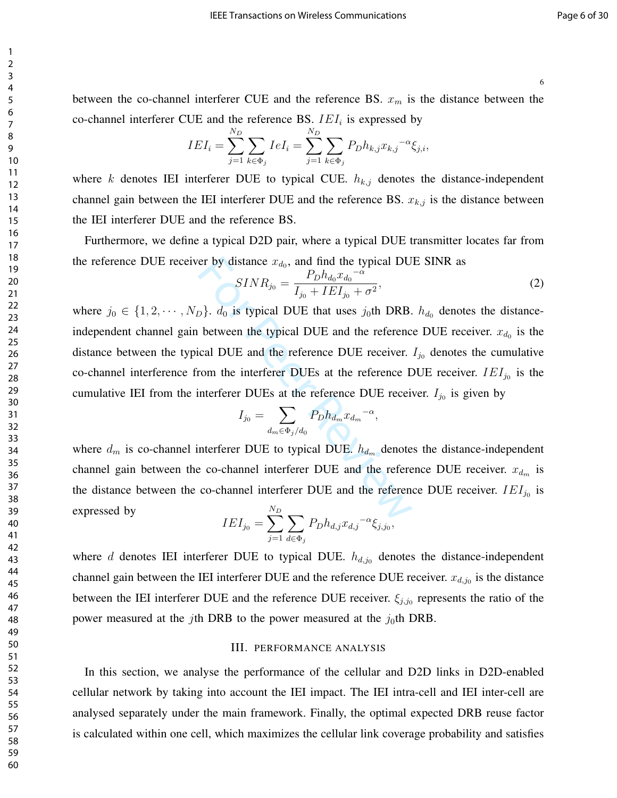between the co-channel interferer CUE and the reference BS.  $x_m$  is the distance between the co-channel interferer CUE and the reference BS.  $IEI_i$  is expressed by

$$
IEI_i = \sum_{j=1}^{N_D} \sum_{k \in \Phi_j} IeI_i = \sum_{j=1}^{N_D} \sum_{k \in \Phi_j} P_D h_{k,j} x_{k,j}^{-\alpha} \xi_{j,i},
$$

where k denotes IEI interferer DUE to typical CUE.  $h_{k,j}$  denotes the distance-independent channel gain between the IEI interferer DUE and the reference BS.  $x_{k,j}$  is the distance between the IEI interferer DUE and the reference BS.

Furthermore, we define a typical D2D pair, where a typical DUE transmitter locates far from the reference DUE receiver by distance  $x_{d_0}$ , and find the typical DUE SINR as

$$
SINR_{j_0} = \frac{P_D h_{d_0} x_{d_0}^{-\alpha}}{I_{j_0} + IEI_{j_0} + \sigma^2},\tag{2}
$$

er by distance  $x_{d_0}$ , and find the typical DU<br>  $SINR_{j_0} = \frac{P_D h_{d_0} x_{d_0}^{-\alpha}}{I_{j_0} + I E I_{j_0} + \sigma^2}$ ,<br>  $D$ ,  $d_0$  is typical DUE that uses  $j_0$ th DRB.<br>
between the typical DUE and the reference<br>
cical DUE and the ref where  $j_0 \in \{1, 2, \dots, N_D\}$ .  $d_0$  is typical DUE that uses  $j_0$ th DRB.  $h_{d_0}$  denotes the distanceindependent channel gain between the typical DUE and the reference DUE receiver.  $x_{d_0}$  is the distance between the typical DUE and the reference DUE receiver.  $I_{j0}$  denotes the cumulative co-channel interference from the interferer DUEs at the reference DUE receiver.  $IEI_{j0}$  is the cumulative IEI from the interferer DUEs at the reference DUE receiver.  $I_{j_0}$  is given by

$$
I_{j_0} = \sum_{d_m \in \Phi_j/d_0} P_D h_{d_m} x_{d_m}^{-\alpha},
$$

where  $d_m$  is co-channel interferer DUE to typical DUE.  $h_{d_m}$  denotes the distance-independent channel gain between the co-channel interferer DUE and the reference DUE receiver.  $x_{d_m}$  is the distance between the co-channel interferer DUE and the reference DUE receiver.  $IEI_{j0}$  is expressed by  $N_D$ 

$$
IEI_{j_0} = \sum_{j=1}^{N} \sum_{d \in \Phi_j} P_D h_{d,j} x_{d,j}^{-\alpha} \xi_{j,j_0},
$$

where  $d$  denotes IEI interferer DUE to typical DUE.  $h_{d,j0}$  denotes the distance-independent channel gain between the IEI interferer DUE and the reference DUE receiver.  $x_{d,j_0}$  is the distance between the IEI interferer DUE and the reference DUE receiver.  $\xi_{j,j_0}$  represents the ratio of the power measured at the jth DRB to the power measured at the  $j_0$ th DRB.

#### III. PERFORMANCE ANALYSIS

In this section, we analyse the performance of the cellular and D2D links in D2D-enabled cellular network by taking into account the IEI impact. The IEI intra-cell and IEI inter-cell are analysed separately under the main framework. Finally, the optimal expected DRB reuse factor is calculated within one cell, which maximizes the cellular link coverage probability and satisfies

1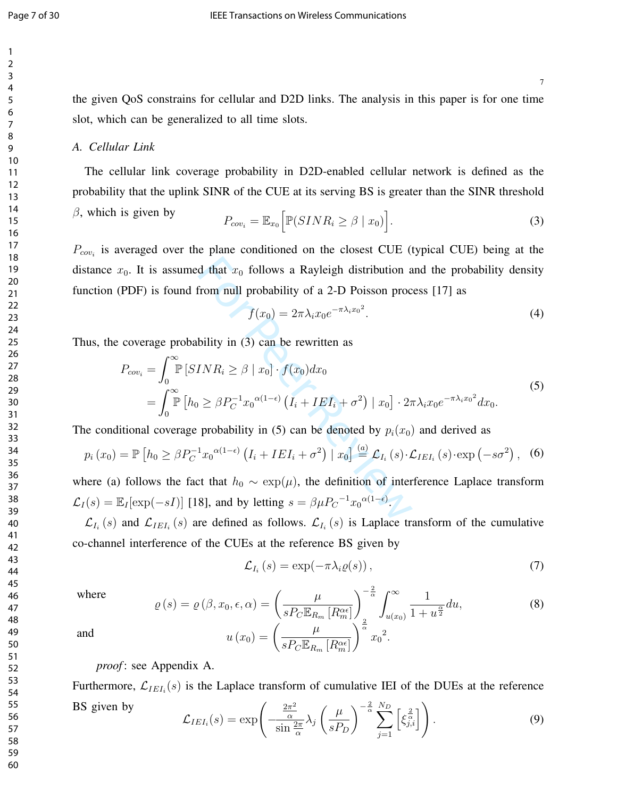7

the given QoS constrains for cellular and D2D links. The analysis in this paper is for one time slot, which can be generalized to all time slots.

#### *A. Cellular Link*

The cellular link coverage probability in D2D-enabled cellular network is defined as the probability that the uplink SINR of the CUE at its serving BS is greater than the SINR threshold

$$
\beta, \text{ which is given by} \qquad P_{cov_i} = \mathbb{E}_{x_0} \Big[ \mathbb{P}(SINR_i \ge \beta \mid x_0) \Big]. \tag{3}
$$

 $P_{cov<sub>i</sub>}$  is averaged over the plane conditioned on the closest CUE (typical CUE) being at the distance  $x_0$ . It is assumed that  $x_0$  follows a Rayleigh distribution and the probability density function (PDF) is found from null probability of a 2-D Poisson process [17] as

$$
f(x_0) = 2\pi \lambda_i x_0 e^{-\pi \lambda_i x_0^2}.
$$
\n<sup>(4)</sup>

Thus, the coverage probability in (3) can be rewritten as

$$
x_0
$$
. It is assumed that  $x_0$  follows a Rayleigh distribution and the probability density  
\nPDF) is found from null probability of a 2-D Poisson process [17] as  
\n
$$
f(x_0) = 2\pi \lambda_i x_0 e^{-\pi \lambda_i x_0^2}.
$$
\n(4)  
\ncoverage probability in (3) can be rewritten as  
\n
$$
P_{cov_i} = \int_0^\infty \mathbb{P}[SINR_i \ge \beta | x_0] \cdot f(x_0) dx_0
$$
\n
$$
= \int_0^\infty \mathbb{P}[h_0 \ge \beta P_C^{-1} x_0^{\alpha(1-\epsilon)} (I_i + I E I_i + \sigma^2) | x_0] \cdot 2\pi \lambda_i x_0 e^{-\pi \lambda_i x_0^2} dx_0.
$$
\n(5)  
\national coverage probability in (5) can be denoted by  $p_i(x_0)$  and derived as  
\n
$$
= \mathbb{P}[h_0 \ge \beta P_C^{-1} x_0^{\alpha(1-\epsilon)} (I_i + I E I_i + \sigma^2) | x_0] \stackrel{(a)}{=} \mathcal{L}_{I_i}(s) \cdot \mathcal{L}_{IE I_i}(s) \cdot \exp(-s\sigma^2),
$$
\n(6)  
\nfollows the fact that  $h_0 \sim \exp(\mu)$ , the definition of interference Laplace transform  
\n $\mathbb{E}_I[\exp(-sI)]$  [18], and by letting  $s = \beta \mu P_C^{-1} x_0^{\alpha(1-\epsilon)}$ .  
\nand  $\mathcal{L}_{IE I_i}(s)$  are defined as follows  $\mathcal{L}_{I_i}(s)$  is I and see transform of the cumulative

The conditional coverage probability in (5) can be denoted by  $p_i(x_0)$  and derived as

$$
p_i(x_0) = \mathbb{P}\left[h_0 \ge \beta P_C^{-1} x_0^{\alpha(1-\epsilon)} \left(I_i + I E I_i + \sigma^2\right) \mid x_0\right] \stackrel{(a)}{=} \mathcal{L}_{I_i}\left(s\right) \cdot \mathcal{L}_{IEI_i}\left(s\right) \cdot \exp\left(-s\sigma^2\right), \tag{6}
$$

where (a) follows the fact that  $h_0 \sim \exp(\mu)$ , the definition of interference Laplace transform  $\mathcal{L}_I(s) = \mathbb{E}_I[\exp(-sI)]$  [18], and by letting  $s = \beta \mu P_C^{-1} x_0^{\alpha(1-\epsilon)}$ .

 $\mathcal{L}_{I_i}(s)$  and  $\mathcal{L}_{IEI_i}(s)$  are defined as follows.  $\mathcal{L}_{I_i}(s)$  is Laplace transform of the cumulative co-channel interference of the CUEs at the reference BS given by

$$
\mathcal{L}_{I_i}(s) = \exp(-\pi \lambda_i \varrho(s)), \qquad (7)
$$

where

$$
\varrho(s) = \varrho(\beta, x_0, \epsilon, \alpha) = \left(\frac{\mu}{s P_C \mathbb{E}_{R_m} [R_m^{\alpha\epsilon}]} \right)_{\frac{2}{\alpha}}^{-\frac{2}{\alpha}} \int_{u(x_0)}^{\infty} \frac{1}{1 + u^{\frac{\alpha}{2}}} du,
$$
\n
$$
u(x_0) = \left(\frac{\mu}{s P_C \mathbb{E}_{R_m} [R_m^{\alpha\epsilon}]} \right)^{\frac{2}{\alpha}} x_0^2.
$$
\n(8)

and

*proof* : see Appendix A.

Furthermore,  $\mathcal{L}_{IEI_i}(s)$  is the Laplace transform of cumulative IEI of the DUEs at the reference BS given by  $\mathcal{L}_I$  $\sqrt{ }$  $2\pi^2$  $\sqrt{ }$  $\mu$  $\setminus$ −  $\frac{2}{\alpha} \sum_{i=1}^{N_D}$ 2

$$
E_{I_i}(s) = \exp\left(-\frac{\frac{2\pi^2}{\alpha}}{\sin\frac{2\pi}{\alpha}}\lambda_j\left(\frac{\mu}{sP_D}\right)^{-\frac{2}{\alpha}}\sum_{j=1}^{N_D}\left[\xi_{j,i}^{\frac{2}{\alpha}}\right]\right).
$$
(9)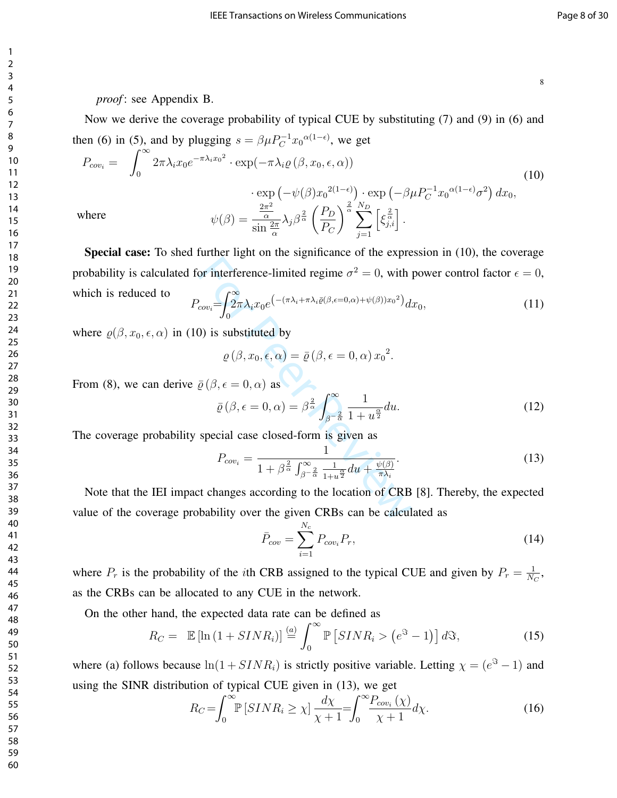#### *proof* : see Appendix B.

Now we derive the coverage probability of typical CUE by substituting (7) and (9) in (6) and then (6) in (5), and by plugging  $s = \beta \mu P_C^{-1} x_0^{\alpha(1-\epsilon)}$ , we get

$$
P_{cov_i} = \int_0^\infty 2\pi \lambda_i x_0 e^{-\pi \lambda_i x_0^2} \cdot \exp(-\pi \lambda_i \varrho \left(\beta, x_0, \epsilon, \alpha\right))
$$
  
\n
$$
\cdot \exp\left(-\psi(\beta) x_0^{2(1-\epsilon)}\right) \cdot \exp\left(-\beta \mu P_C^{-1} x_0^{\alpha(1-\epsilon)} \sigma^2\right) dx_0,
$$
  
\nwhere  
\n
$$
\psi(\beta) = \frac{\frac{2\pi^2}{\alpha}}{\sin 2\pi} \lambda_j \beta^{\frac{2}{\alpha}} \left(\frac{P_D}{P_C}\right)^{\frac{2}{\alpha}} \sum_{k=1}^{N_D} \left[\xi_{j,i}^{\frac{2}{\alpha}}\right].
$$
\n(10)

 $P_C$ 

α  $\sin \frac{2\pi}{\alpha}$ 

For interference-limited regime  $\sigma^2 = 0$ , with  $\int_{cov_i} = \int_{0}^{\infty} 2\pi \lambda_i x_0 e^{-\frac{1}{2}(\pi \lambda_i + \pi \lambda_i \bar{\varrho}(\beta, \epsilon = 0, \alpha) + \psi(\beta))x_0^2} dx$ <br>
(b) is substituted by<br>  $\varrho(\beta, x_0, \epsilon, \alpha) = \bar{\varrho}(\beta, \epsilon = 0, \alpha) x_0^2$ .<br>  $\bar{\varrho}(\beta, \epsilon = 0, \alpha)$  as Special case: To shed further light on the significance of the expression in (10), the coverage probability is calculated for interference-limited regime  $\sigma^2 = 0$ , with power control factor  $\epsilon = 0$ , which is reduced to

$$
P_{cov_i} = \int_0^\infty \frac{2\pi\lambda_i x_0 e^{\left(-\left(\pi\lambda_i + \pi\lambda_i \bar{\varrho}(\beta, \epsilon = 0, \alpha) + \psi(\beta)\right)x_0{}^2\right)} dx_0, \tag{11}
$$

 $j=1$ 

where  $\rho(\beta, x_0, \epsilon, \alpha)$  in (10) is substituted by

$$
\varrho(\beta, x_0, \epsilon, \alpha) = \bar{\varrho}(\beta, \epsilon = 0, \alpha) x_0^2.
$$

From (8), we can derive  $\bar{\varrho}(\beta, \epsilon = 0, \alpha)$  as

$$
\bar{\varrho}\left(\beta,\epsilon=0,\alpha\right)=\beta^{\frac{2}{\alpha}}\int_{\beta^{-\frac{2}{\alpha}}}^{\infty}\frac{1}{1+u^{\frac{\alpha}{2}}}du.
$$
\n(12)

The coverage probability special case closed-form is given as

$$
P_{cov_i} = \frac{1}{1 + \beta^{\frac{2}{\alpha}} \int_{\beta - \frac{2}{\alpha}}^{\infty} \frac{1}{1 + u^{\frac{\alpha}{2}}} du + \frac{\psi(\beta)}{\pi \lambda_i}}.
$$
(13)

Note that the IEI impact changes according to the location of CRB [8]. Thereby, the expected value of the coverage probability over the given CRBs can be calculated as

$$
\bar{P}_{cov} = \sum_{i=1}^{N_c} P_{cov_i} P_r,
$$
\n(14)

where  $P_r$  is the probability of the *i*th CRB assigned to the typical CUE and given by  $P_r = \frac{1}{N_c}$  $\frac{1}{N_C},$ as the CRBs can be allocated to any CUE in the network.

On the other hand, the expected data rate can be defined as

$$
R_C = \mathbb{E}\left[\ln\left(1 + SINR_i\right)\right] \stackrel{(a)}{=} \int_0^\infty \mathbb{P}\left(SINR_i > \left(e^{S} - 1\right)\right] dS,
$$
\n(15)

where (a) follows because  $ln(1 + SINR_i)$  is strictly positive variable. Letting  $\chi = (e^{3} - 1)$  and using the SINR distribution of typical CUE given in (13), we get

$$
R_C = \int_0^\infty \mathbb{P}\left[ SINR_i \ge \chi \right] \frac{d\chi}{\chi + 1} = \int_0^\infty \frac{P_{cov_i}\left(\chi\right)}{\chi + 1} d\chi. \tag{16}
$$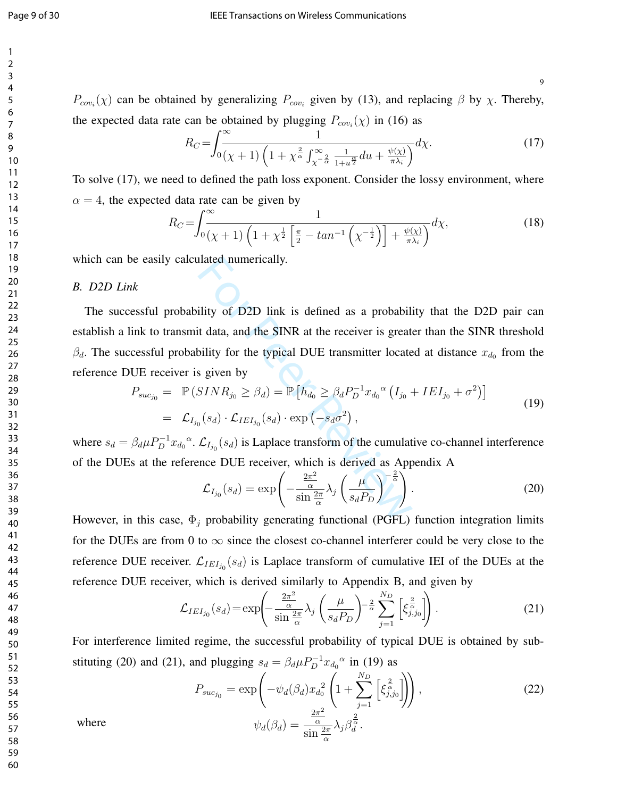9

 $P_{cov_i}(\chi)$  can be obtained by generalizing  $P_{cov_i}$  given by (13), and replacing  $\beta$  by  $\chi$ . Thereby, the expected data rate can be obtained by plugging  $P_{cov_i}(\chi)$  in (16) as

$$
R_C = \int_0^\infty \frac{1}{(\chi + 1)\left(1 + \chi^{\frac{2}{\alpha}} \int_{\chi - \frac{2}{\alpha}}^\infty \frac{1}{1 + u^{\frac{\alpha}{2}}} du + \frac{\psi(\chi)}{\pi \lambda_i}\right)} d\chi. \tag{17}
$$

To solve (17), we need to defined the path loss exponent. Consider the lossy environment, where  $\alpha = 4$ , the expected data rate can be given by

$$
R_C = \int_0^\infty \frac{1}{\left(\chi + 1\right)\left(1 + \chi^{\frac{1}{2}} \left[\frac{\pi}{2} - \tan^{-1}\left(\chi^{-\frac{1}{2}}\right)\right] + \frac{\psi(\chi)}{\pi \lambda_i}\right)} d\chi,\tag{18}
$$

which can be easily calculated numerically.

#### *B. D2D Link*

fility of D2D link is defined as a probability<br>it data, and the SINR at the receiver is greatered<br>bility for the typical DUE transmitter locatered<br>is given by<br> $SINR_{j_0} \geq \beta_d$  =  $\mathbb{P}\left[h_{d_0} \geq \beta_d P_D^{-1} x_{d_0}^{\alpha} (I_{j_0} -$ The successful probability of D2D link is defined as a probability that the D2D pair can establish a link to transmit data, and the SINR at the receiver is greater than the SINR threshold  $\beta_d$ . The successful probability for the typical DUE transmitter located at distance  $x_{d_0}$  from the reference DUE receiver is given by

$$
P_{suc_{j_0}} = \mathbb{P}(SINR_{j_0} \ge \beta_d) = \mathbb{P}\left[h_{d_0} \ge \beta_d P_D^{-1} x_{d_0}^{\alpha} (I_{j_0} + IEI_{j_0} + \sigma^2)\right]
$$
  
=  $\mathcal{L}_{I_{j_0}}(s_d) \cdot \mathcal{L}_{IEI_{j_0}}(s_d) \cdot \exp(-s_d \sigma^2)$ , (19)

where  $s_d = \beta_d \mu P_D^{-1}$  $\int_D^{-1} x_{d_0}$ <sup> $\alpha$ </sup>.  $\mathcal{L}_{I_{j_0}}(s_d)$  is Laplace transform of the cumulative co-channel interference of the DUEs at the reference DUE receiver, which is derived as Appendix A

$$
\mathcal{L}_{I_{j_0}}(s_d) = \exp\left(-\frac{\frac{2\pi^2}{\alpha}}{\sin\frac{2\pi}{\alpha}}\lambda_j \left(\frac{\mu}{s_d P_D}\right)^{-\frac{2}{\alpha}}\right).
$$
 (20)

However, in this case,  $\Phi_j$  probability generating functional (PGFL) function integration limits for the DUEs are from 0 to  $\infty$  since the closest co-channel interferer could be very close to the reference DUE receiver.  $\mathcal{L}_{IEI_{j_0}}(s_d)$  is Laplace transform of cumulative IEI of the DUEs at the reference DUE receiver, which is derived similarly to Appendix B, and given by

$$
\mathcal{L}_{IEI_{j_0}}(s_d) = \exp\left(-\frac{\frac{2\pi^2}{\alpha}}{\sin\frac{2\pi}{\alpha}}\lambda_j \left(\frac{\mu}{s_d P_D}\right)^{-\frac{2}{\alpha}} \sum_{j=1}^{N_D} \left[\xi_{j,j_0}^{\frac{2}{\alpha}}\right]\right).
$$
 (21)

For interference limited regime, the successful probability of typical DUE is obtained by substituting (20) and (21), and plugging  $s_d = \beta_d \mu P_D^{-1} x_{d_0}^{\ \alpha}$  in (19) as

$$
P_{suc_{j_0}} = \exp\left(-\psi_d(\beta_d)x_{d_0}^2 \left(1 + \sum_{j=1}^{N_D} \left[\xi_{j,j_0}^{\frac{2}{\alpha}}\right]\right)\right),
$$
  
\n
$$
\psi_d(\beta_d) = \frac{\frac{2\pi^2}{\alpha}}{\sin 2\pi} \lambda_j \beta_d^{\frac{2}{\alpha}}.
$$
\n(22)

where

$$
y_i) = \frac{\overline{\alpha}}{\sin \frac{2\pi}{\alpha}} \lambda_j \beta
$$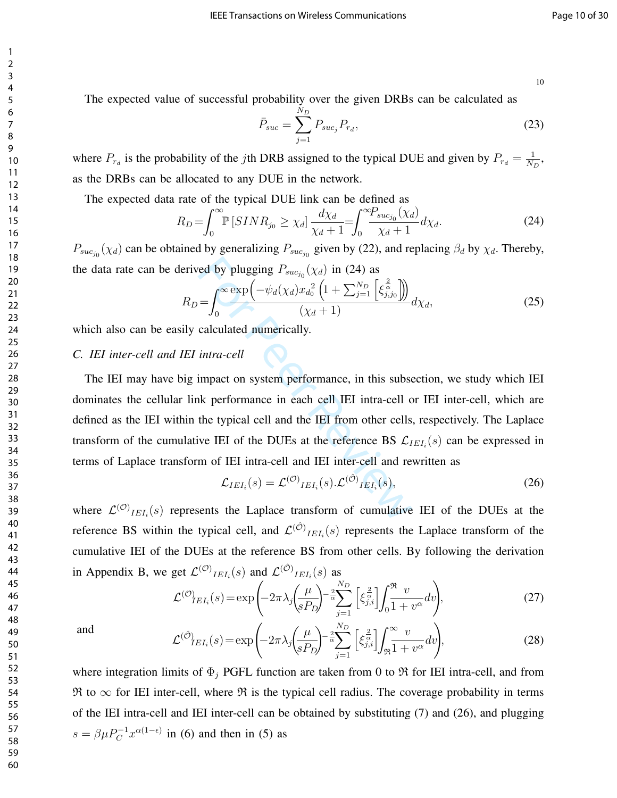The expected value of successful probability over the given DRBs can be calculated as

$$
\bar{P}_{suc} = \sum_{j=1}^{N_D} P_{suc_j} P_{r_d},
$$
\n(23)

where  $P_{r_d}$  is the probability of the jth DRB assigned to the typical DUE and given by  $P_{r_d} = \frac{1}{N_d}$  $\frac{1}{N_D},$ as the DRBs can be allocated to any DUE in the network.

The expected data rate of the typical DUE link can be defined as

$$
R_D = \int_0^\infty \mathbb{P}\left[ SINR_{j_0} \ge \chi_d \right] \frac{d\chi_d}{\chi_d + 1} = \int_0^\infty \frac{P_{suc_{j_0}}(\chi_d)}{\chi_d + 1} d\chi_d. \tag{24}
$$

 $P_{suc_{j_0}}(\chi_d)$  can be obtained by generalizing  $P_{suc_{j_0}}$  given by (22), and replacing  $\beta_d$  by  $\chi_d$ . Thereby, the data rate can be derived by plugging  $P_{suc_{j_0}}(\chi_d)$  in (24) as

$$
R_D = \int_0^\infty \frac{\exp\left(-\psi_d(\chi_d)x_{d_0}^2\left(1 + \sum_{j=1}^{N_D} \left[\xi_{j,j_0}^{\frac{2}{\alpha}}\right]\right)\right)}{(\chi_d + 1)}d\chi_d,
$$
 (25)

which also can be easily calculated numerically.

#### *C. IEI inter-cell and IEI intra-cell*

red by plugging  $P_{suc_{j_0}}(\chi_d)$  in (24) as<br>  $= \int_0^\infty \frac{\exp(-\psi_d(\chi_d)x_{d_0}^2(1 + \sum_{j=1}^{N_D} \left[\xi_{j,j_0}^{\frac{2}{\alpha}}\right]))}{(\chi_d + 1)}$ <br>
calculated numerically.<br> *intra-cell*<br>
impact on system performance, in this subset<br>
where the typical The IEI may have big impact on system performance, in this subsection, we study which IEI dominates the cellular link performance in each cell IEI intra-cell or IEI inter-cell, which are defined as the IEI within the typical cell and the IEI from other cells, respectively. The Laplace transform of the cumulative IEI of the DUEs at the reference BS  $\mathcal{L}_{IEI_i}(s)$  can be expressed in terms of Laplace transform of IEI intra-cell and IEI inter-cell and rewritten as

$$
\mathcal{L}_{IEI_i}(s) = \mathcal{L}^{(\mathcal{O})}{}_{IEI_i}(s). \mathcal{L}^{(\hat{\mathcal{O}})}{}_{IEI_i}(s), \tag{26}
$$

where  $\mathcal{L}^{(O)}_{IEI_i}(s)$  represents the Laplace transform of cumulative IEI of the DUEs at the reference BS within the typical cell, and  $\mathcal{L}^{(\hat{O})}_{IEI_i}(s)$  represents the Laplace transform of the cumulative IEI of the DUEs at the reference BS from other cells. By following the derivation in Appendix B, we get  $\mathcal{L}^{(O)}{}_{IEI_i}(s)$  and  $\mathcal{L}^{(O)}{}_{IEI_i}(s)$  as

$$
\mathcal{L}^{(O)}{}_{IEI_i}(s) = \exp\left(-2\pi\lambda_j \left(\frac{\mu}{sP_D}\right)^{-\frac{2}{\alpha}} \sum_{j=1}^{N_D} \left[\xi_{j,i}^{\frac{2}{\alpha}}\right] \int_0^{\Re} \frac{v}{1+v^{\alpha}} dv\right),\tag{27}
$$

and

$$
\mathcal{L}^{(\hat{\mathcal{O}})} E I_i(s) = \exp\left(-2\pi \lambda_j \left(\frac{\mu}{sP_D}\right)^{-\frac{2}{\alpha}} \sum_{j=1}^{N_D} \left[\xi_{j,i}^{\frac{2}{\alpha}}\right] \int_{\Re}^{\infty} \frac{v}{1+v^{\alpha}} dv\right),\tag{28}
$$

where integration limits of  $\Phi_j$  PGFL function are taken from 0 to  $\Re$  for IEI intra-cell, and from  $\Re$  to  $\infty$  for IEI inter-cell, where  $\Re$  is the typical cell radius. The coverage probability in terms of the IEI intra-cell and IEI inter-cell can be obtained by substituting (7) and (26), and plugging  $s = \beta \mu P_C^{-1} x^{\alpha(1-\epsilon)}$  in (6) and then in (5) as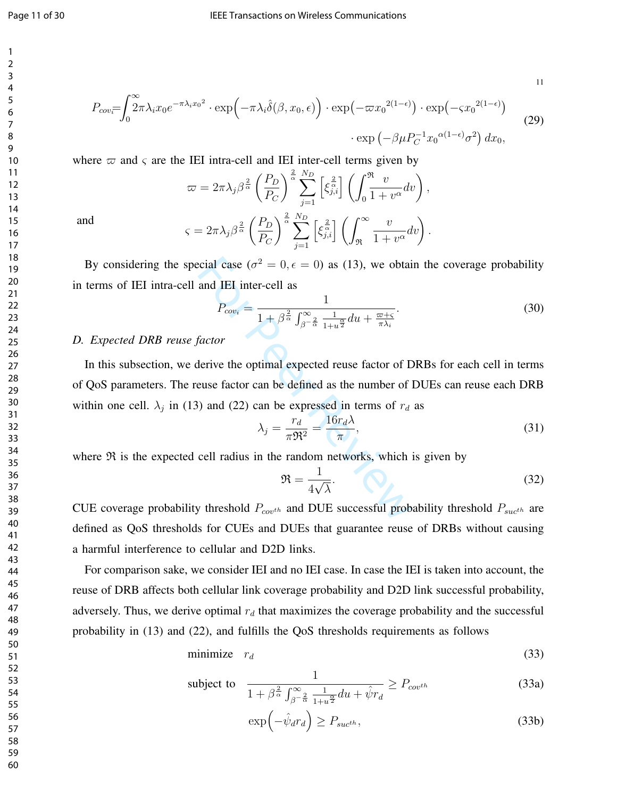$$
11\\
$$

$$
P_{cov} = \int_0^\infty 2\pi \lambda_i x_0 e^{-\pi \lambda_i x_0^2} \cdot \exp\left(-\pi \lambda_i \hat{\delta}(\beta, x_0, \epsilon)\right) \cdot \exp\left(-\pi x_0^{2(1-\epsilon)}\right) \cdot \exp\left(-\varsigma x_0^{2(1-\epsilon)}\right) \cdot \exp\left(-\varsigma x_0^{2(1-\epsilon)}\sigma^2\right) dx_0,
$$
\n
$$
\exp\left(-\beta \mu P_C^{-1} x_0^{\alpha(1-\epsilon)}\sigma^2\right) dx_0,
$$
\n(29)

where  $\varpi$  and  $\varsigma$  are the IEI intra-cell and IEI inter-cell terms given by

$$
\varpi = 2\pi \lambda_j \beta^{\frac{2}{\alpha}} \left(\frac{P_D}{P_C}\right)^{\frac{2}{\alpha}} \sum_{j=1}^{N_D} \left[\xi_{j,i}^{\frac{2}{\alpha}}\right] \left(\int_0^{\Re} \frac{v}{1+v^{\alpha}} dv\right),
$$
  

$$
\varsigma = 2\pi \lambda_j \beta^{\frac{2}{\alpha}} \left(\frac{P_D}{P_C}\right)^{\frac{2}{\alpha}} \sum_{j=1}^{N_D} \left[\xi_{j,i}^{\frac{2}{\alpha}}\right] \left(\int_{\Re}^{\infty} \frac{v}{1+v^{\alpha}} dv\right).
$$

and

By considering the special case ( $\sigma^2 = 0, \epsilon = 0$ ) as (13), we obtain the coverage probability in terms of IEI intra-cell and IEI inter-cell as

$$
P_{cov_i} = \frac{1}{1 + \beta^{\frac{2}{\alpha}} \int_{\beta^{-\frac{2}{\alpha}}}^{\infty} \frac{1}{1 + u^{\frac{\alpha}{2}}} du + \frac{\varpi + \varsigma}{\pi \lambda_i}}.
$$
(30)

#### *D. Expected DRB reuse factor*

ccial case ( $\sigma^2 = 0$ ,  $\epsilon = 0$ ) as (13), we obtai<br>and IEI inter-cell as<br> $P_{cov_i} = \frac{1}{1 + \beta^{\frac{2}{\alpha}} \int_{\beta - \frac{\alpha}{\alpha}}^{\infty} \frac{1}{1 + u^{\frac{\alpha}{2}}} du + \frac{\varpi + \varsigma}{\pi \lambda_i}}$ .<br>factor<br>lerive the optimal expected reuse factor of D<br>euse factor can In this subsection, we derive the optimal expected reuse factor of DRBs for each cell in terms of QoS parameters. The reuse factor can be defined as the number of DUEs can reuse each DRB within one cell.  $\lambda_j$  in (13) and (22) can be expressed in terms of  $r_d$  as

$$
\lambda_j = \frac{r_d}{\pi \mathfrak{R}^2} = \frac{16r_d \lambda}{\pi},\tag{31}
$$

where  $Re$  is the expected cell radius in the random networks, which is given by

$$
\mathfrak{R} = \frac{1}{4\sqrt{\lambda}}.\tag{32}
$$

CUE coverage probability threshold  $P_{cov^{th}}$  and DUE successful probability threshold  $P_{succ^{th}}$  are defined as QoS thresholds for CUEs and DUEs that guarantee reuse of DRBs without causing a harmful interference to cellular and D2D links.

For comparison sake, we consider IEI and no IEI case. In case the IEI is taken into account, the reuse of DRB affects both cellular link coverage probability and D2D link successful probability, adversely. Thus, we derive optimal  $r_d$  that maximizes the coverage probability and the successful probability in (13) and (22), and fulfills the QoS thresholds requirements as follows

$$
\text{minimize} \quad r_d \tag{33}
$$

subject to 
$$
\frac{1}{1 + \beta^{\frac{2}{\alpha}} \int_{\beta - \frac{2}{\alpha}}^{\infty} \frac{1}{1 + u^{\frac{\alpha}{2}}} du + \hat{\psi}r_d} \ge P_{cov^{th}}
$$
(33a)

$$
\exp\left(-\hat{\psi}_d r_d\right) \ge P_{suct^h},\tag{33b}
$$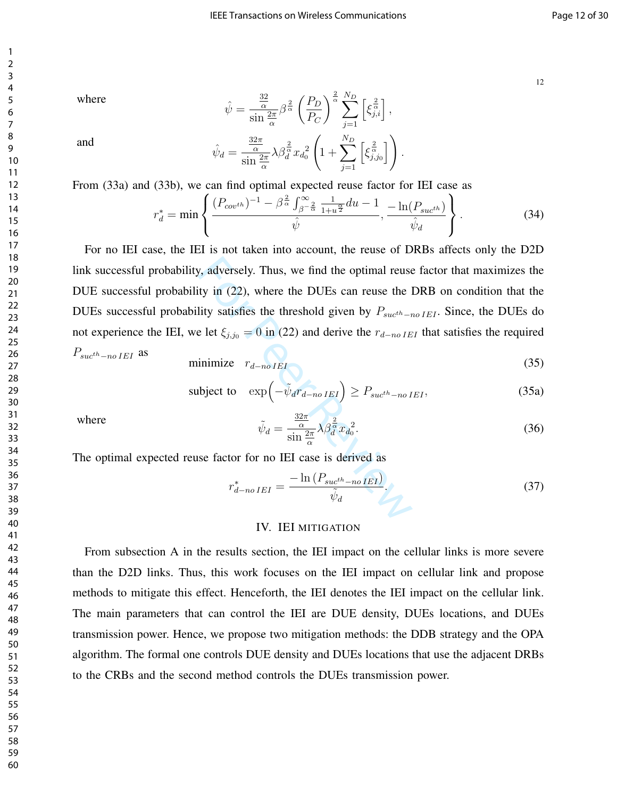where

$$
\hat{\psi} = \frac{\frac{32}{\alpha}}{\sin \frac{2\pi}{\alpha}} \beta^{\frac{2}{\alpha}} \left(\frac{P_D}{P_C}\right)^{\frac{2}{\alpha}} \sum_{j=1}^{N_D} \left[\xi_{j,i}^{\frac{2}{\alpha}}\right],
$$
\n
$$
q = \frac{\frac{32\pi}{\alpha}}{\sin \frac{2\pi}{\alpha}} \lambda \beta_d^{\frac{2}{\alpha}} x_{d_0}^2 \left(1 + \sum_{j=1}^{N_D} \left[\xi_{j,j_0}^{\frac{2}{\alpha}}\right]\right).
$$

and

From (33a) and (33b), we can find optimal expected reuse factor for IEI case as

α  $\sin \frac{2\pi}{\alpha}$ 

 $\hat{\psi}_d =$ 

$$
r_d^* = \min\left\{\frac{(P_{cov^{th}})^{-1} - \beta^{\frac{2}{\alpha}} \int_{\beta-\frac{2}{\alpha}}^{\infty} \frac{1}{1+u^{\frac{\alpha}{2}}} du - 1}{\hat{\psi}}, \frac{-\ln(P_{succ^{th}})}{\hat{\psi}_d}\right\}.
$$
(34)

 $j=1$ 

.

 $1 + \sum$ 

y, adversely. Thus, we find the optimal reuse<br>tty in (22), where the DUEs can reuse the l<br>lity satisfies the threshold given by  $P_{suc^{th}-r}$ <br>e let  $\xi_{j,j0} = 0$  in (22) and derive the  $r_{d-noIE}$ <br>inimize  $r_{d-noIE}$ <br>injunize  $r_{d$ For no IEI case, the IEI is not taken into account, the reuse of DRBs affects only the D2D link successful probability, adversely. Thus, we find the optimal reuse factor that maximizes the DUE successful probability in (22), where the DUEs can reuse the DRB on condition that the DUEs successful probability satisfies the threshold given by  $P_{such-no IEI}$ . Since, the DUEs do not experience the IEI, we let  $\xi_{j,j0} = 0$  in (22) and derive the  $r_{d-no|IEI}$  that satisfies the required

 $P_{\mathit{such-no\,IEI}}$  as

$$
\text{minimize} \quad r_{d-noIEI} \tag{35}
$$

subject to 
$$
\exp\left(-\tilde{\psi}_d r_{d-no\,IEI}\right) \ge P_{suc^{th}-no\,IEI},\tag{35a}
$$

where

$$
\tilde{\psi}_d = \frac{\frac{32\pi}{\alpha}}{\sin\frac{2\pi}{\alpha}} \lambda \beta_d^{\frac{2}{\alpha}} x_{d_0}^2.
$$
\n(36)

The optimal expected reuse factor for no IEI case is derived as

$$
r_{d-no\,IEI}^* = \frac{-\ln\left(P_{suct-h-o\,IEI}\right)}{\tilde{\psi}_d}.\tag{37}
$$

#### IV. IEI MITIGATION

From subsection A in the results section, the IEI impact on the cellular links is more severe than the D2D links. Thus, this work focuses on the IEI impact on cellular link and propose methods to mitigate this effect. Henceforth, the IEI denotes the IEI impact on the cellular link. The main parameters that can control the IEI are DUE density, DUEs locations, and DUEs transmission power. Hence, we propose two mitigation methods: the DDB strategy and the OPA algorithm. The formal one controls DUE density and DUEs locations that use the adjacent DRBs to the CRBs and the second method controls the DUEs transmission power.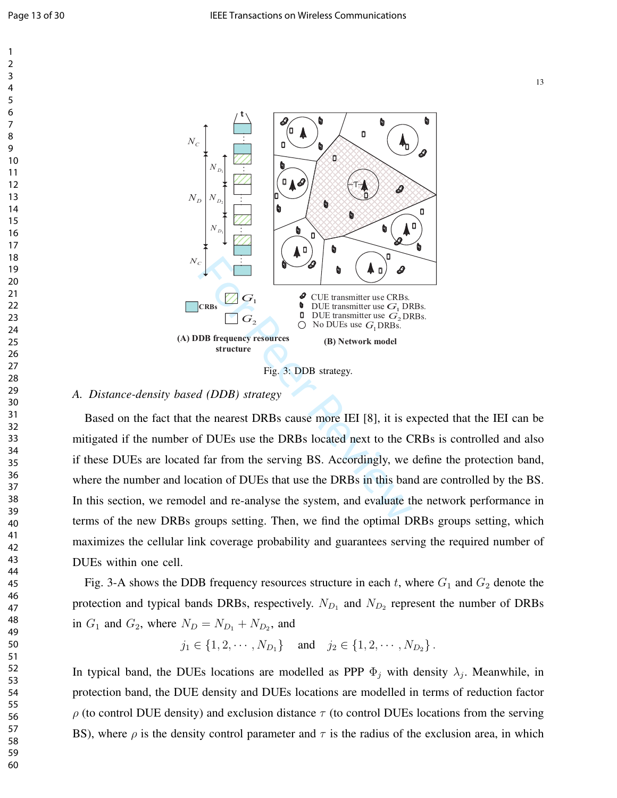



#### *A. Distance-density based (DDB) strategy*

Based on the fact that the nearest DRBs cause more IEI [8], it is expected that the IEI can be mitigated if the number of DUEs use the DRBs located next to the CRBs is controlled and also if these DUEs are located far from the serving BS. Accordingly, we define the protection band, where the number and location of DUEs that use the DRBs in this band are controlled by the BS. In this section, we remodel and re-analyse the system, and evaluate the network performance in terms of the new DRBs groups setting. Then, we find the optimal DRBs groups setting, which maximizes the cellular link coverage probability and guarantees serving the required number of DUEs within one cell.

Fig. 3-A shows the DDB frequency resources structure in each  $t$ , where  $G_1$  and  $G_2$  denote the protection and typical bands DRBs, respectively.  $N_{D_1}$  and  $N_{D_2}$  represent the number of DRBs in  $G_1$  and  $G_2$ , where  $N_D = N_{D_1} + N_{D_2}$ , and

 $j_1 \in \{1, 2, \cdots, N_{D_1}\}$  and  $j_2 \in \{1, 2, \cdots, N_{D_2}\}$ .

In typical band, the DUEs locations are modelled as PPP  $\Phi_j$  with density  $\lambda_j$ . Meanwhile, in protection band, the DUE density and DUEs locations are modelled in terms of reduction factor  $\rho$  (to control DUE density) and exclusion distance  $\tau$  (to control DUEs locations from the serving BS), where  $\rho$  is the density control parameter and  $\tau$  is the radius of the exclusion area, in which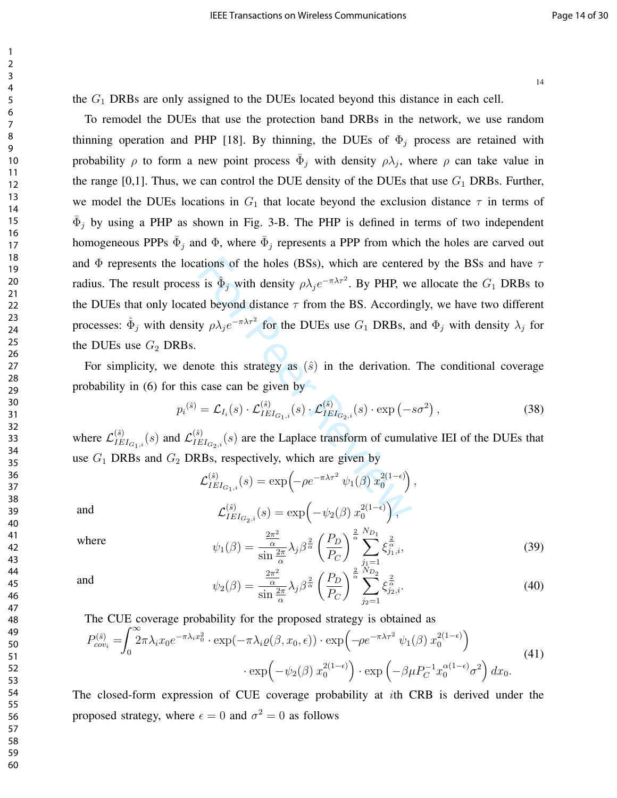the  $G_1$  DRBs are only assigned to the DUEs located beyond this distance in each cell.

ations of the holes (BSs), which are centeres<br>
is  $\hat{\Phi}_j$  with density  $\rho \lambda_j e^{-\pi \lambda \tau^2}$ . By PHP, we<br>
ed beyond distance  $\tau$  from the BS. Accordin<br>
y  $\rho \lambda_j e^{-\pi \lambda \tau^2}$  for the DUEs use  $G_1$  DRBs, a<br>
note this strateg To remodel the DUEs that use the protection band DRBs in the network, we use random thinning operation and PHP [18]. By thinning, the DUEs of  $\Phi_i$  process are retained with probability  $\rho$  to form a new point process  $\bar{\Phi}_j$  with density  $\rho \lambda_j$ , where  $\rho$  can take value in the range [0,1]. Thus, we can control the DUE density of the DUEs that use  $G_1$  DRBs. Further, we model the DUEs locations in  $G_1$  that locate beyond the exclusion distance  $\tau$  in terms of  $\bar{\Phi}_j$  by using a PHP as shown in Fig. 3-B. The PHP is defined in terms of two independent homogeneous PPPs  $\bar{\Phi}_j$  and  $\Phi$ , where  $\bar{\Phi}_j$  represents a PPP from which the holes are carved out and  $\Phi$  represents the locations of the holes (BSs), which are centered by the BSs and have  $\tau$ radius. The result process is  $\hat{\Phi}_j$  with density  $\rho \lambda_j e^{-\pi \lambda \tau^2}$ . By PHP, we allocate the  $G_1$  DRBs to the DUEs that only located beyond distance  $\tau$  from the BS. Accordingly, we have two different processes:  $\hat{\Phi}_j$  with density  $\rho \lambda_j e^{-\pi \lambda \tau^2}$  for the DUEs use  $G_1$  DRBs, and  $\Phi_j$  with density  $\lambda_j$  for the DUEs use  $G_2$  DRBs.

For simplicity, we denote this strategy as  $(\hat{s})$  in the derivation. The conditional coverage probability in  $(6)$  for this case can be given by

$$
p_i^{(\hat{s})} = \mathcal{L}_{I_i}(s) \cdot \mathcal{L}_{IEI_{G_1,i}}^{(\hat{s})}(s) \cdot \mathcal{L}_{IEI_{G_2,i}}^{(\hat{s})}(s) \cdot \exp(-s\sigma^2) , \qquad (38)
$$

where  $\mathcal{L}_{IE}^{(\hat{s})}$  $\frac{(\hat{s})}{IEI_{G_1,i}}(s)$  and  $\mathcal{L}^{(\hat{s})}_{IE}$  $\prod_{IEI_{G_2,i}}^{(s)}(s)$  are the Laplace transform of cumulative IEI of the DUEs that use  $G_1$  DRBs and  $G_2$  DRBs, respectively, which are given by

$$
\mathcal{L}_{IEI_{G_1,i}}^{(\hat{s})}(s) = \exp\left(-\rho e^{-\pi\lambda\tau^2} \psi_1(\beta) x_0^{2(1-\epsilon)}\right),
$$
  
and  

$$
\mathcal{L}_{IEI_{G_2,i}}^{(\hat{s})}(s) = \exp\left(-\psi_2(\beta) x_0^{2(1-\epsilon)}\right),
$$

 $P_C$ 

where  
\n
$$
\psi_1(\beta) = \frac{\frac{2\pi^2}{\alpha}}{\sin\frac{2\pi}{\alpha}} \lambda_j \beta^{\frac{2}{\alpha}} \left(\frac{P_D}{P_C}\right)^{\frac{2}{\alpha}} \sum_{\substack{j_1=1 \ j_2=1}}^{N_{D_1}} \xi_{j_1,i}^{\frac{2}{\alpha}},
$$
\nand  
\n
$$
\psi_2(\beta) = \frac{\frac{2\pi^2}{\alpha}}{\sin\frac{2\pi}{\alpha}} \lambda_j \beta^{\frac{2}{\alpha}} \left(\frac{P_D}{P}\right)^{\frac{2}{\alpha}} \sum_{\substack{j_1=1 \ j_2 \ j_1 \neq i}}^{N_{D_1}} \xi_{j_2,i}^{\frac{2}{\alpha}}.
$$
\n(40)

 $\xi_{j_2,i}^{\frac{2}{\alpha}}$ . (40)

 $j_2=1$ 

The CUE coverage probability for the proposed strategy is obtained as

α  $\sin \frac{2\pi}{\alpha}$ 

$$
P_{cov_i}^{(\hat{s})} = \int_0^\infty 2\pi \lambda_i x_0 e^{-\pi \lambda_i x_0^2} \cdot \exp(-\pi \lambda_i \varrho(\beta, x_0, \epsilon)) \cdot \exp\left(-\rho e^{-\pi \lambda \tau^2} \psi_1(\beta) x_0^{2(1-\epsilon)}\right)
$$
  
 
$$
\cdot \exp\left(-\psi_2(\beta) x_0^{2(1-\epsilon)}\right) \cdot \exp\left(-\beta \mu P_C^{-1} x_0^{\alpha(1-\epsilon)} \sigma^2\right) dx_0.
$$
 (41)

The closed-form expression of CUE coverage probability at ith CRB is derived under the proposed strategy, where  $\epsilon = 0$  and  $\sigma^2 = 0$  as follows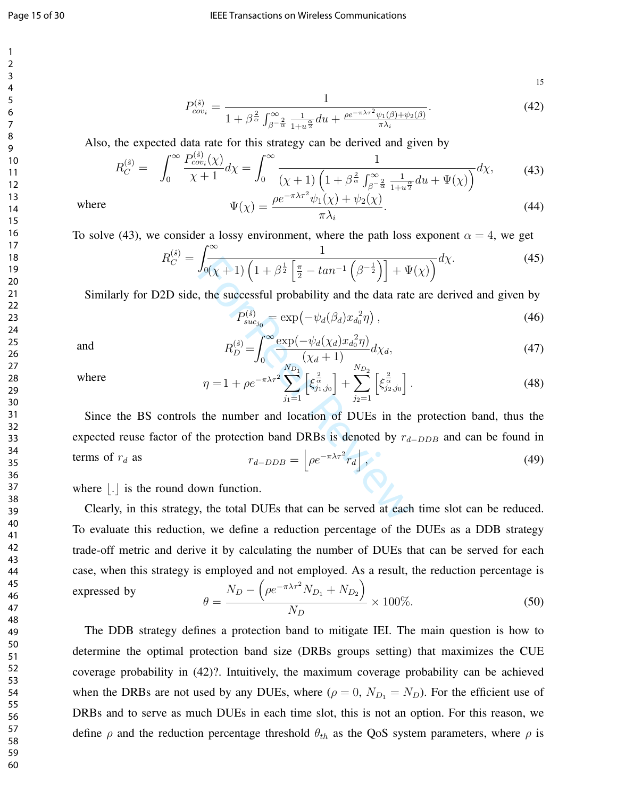15

 $(44)$ 

$$
P_{cov_i}^{(\hat{s})} = \frac{1}{1 + \beta^{\frac{2}{\alpha}} \int_{\beta^{-\frac{2}{\alpha}}}^{\infty} \frac{1}{1 + u^{\frac{\alpha}{2}}} du + \frac{\rho e^{-\pi \lambda \tau^2} \psi_1(\beta) + \psi_2(\beta)}{\pi \lambda_i}}.
$$
(42)

Also, the expected data rate for this strategy can be derived and given by

$$
R_C^{(\hat{s})} = \int_0^\infty \frac{P_{cov_i}^{(\hat{s})}(\chi)}{\chi + 1} d\chi = \int_0^\infty \frac{1}{(\chi + 1) \left(1 + \beta \frac{2}{\alpha} \int_{\beta - \frac{2}{\alpha}}^\infty \frac{1}{1 + u^{\frac{\alpha}{2}}} du + \Psi(\chi)\right)} d\chi,\tag{43}
$$
  
where 
$$
\Psi(\chi) = \frac{\rho e^{-\pi \lambda \tau^2} \psi_1(\chi) + \psi_2(\chi)}{\chi}.
$$

 $\pi\lambda_i$ 

To solve (43), we consider a lossy environment, where the path loss exponent  $\alpha = 4$ , we get

$$
R_C^{(\hat{s})} = \int_{0}^{\infty} \frac{1}{(\chi + 1) \left(1 + \beta^{\frac{1}{2}} \left[\frac{\pi}{2} - \tan^{-1} \left(\beta^{-\frac{1}{2}}\right)\right] + \Psi(\chi)\right)} d\chi.
$$
 (45)

Similarly for D2D side, the successful probability and the data rate are derived and given by

$$
P_{suc_{j_0}}^{(\hat{s})} = \exp(-\psi_d(\beta_d)x_{d_0}^2 \eta) , \qquad (46)
$$

and  $R$ 

$$
R_D^{(\hat{s})} = \int_0^\infty \frac{\exp(-\psi_d(\chi_d)x_d^2\eta)}{(\chi_d + 1)} d\chi_d,\tag{47}
$$

where

$$
\eta = 1 + \rho e^{-\pi \lambda \tau^2} \sum_{j_1=1}^{N_{D_1}} \left[ \xi_{j_1, j_0}^{\frac{2}{\alpha}} \right] + \sum_{j_2=1}^{N_{D_2}} \left[ \xi_{j_2, j_0}^{\frac{2}{\alpha}} \right]. \tag{48}
$$

 $\int_{0}^{\infty} \sqrt{(x+1)\left(1+\beta^{\frac{1}{2}}\left[\frac{\pi}{2}-\tan^{-1}\left(\beta^{-\frac{1}{2}}\right)\right]+\Psi}\right)}$ , the successful probability and the data rate<br>  $P_{suc_{j_0}}^{(\hat{s})} = \exp\left(-\psi_d(\beta_d)x_d^2\eta\right)$ ,<br>  $R_D^{(\hat{s})} = \int_0^{\infty} \frac{\exp(-\psi_d(\chi_d)x_d^2\eta)}{(\chi_d+1)}d\chi_d$ ,<br>  $\eta = 1 + \rho e^{-\pi\$ Since the BS controls the number and location of DUEs in the protection band, thus the expected reuse factor of the protection band DRBs is denoted by  $r_{d-DDB}$  and can be found in terms of  $r_d$  as  $r_{d-DDB} = |\rho e^{-\pi \lambda \tau^2} r_d|$ , (49)

where  $\vert . \vert$  is the round down function.

Clearly, in this strategy, the total DUEs that can be served at each time slot can be reduced. To evaluate this reduction, we define a reduction percentage of the DUEs as a DDB strategy trade-off metric and derive it by calculating the number of DUEs that can be served for each case, when this strategy is employed and not employed. As a result, the reduction percentage is expressed by  $\theta =$  $N_D - \left( \rho e^{-\pi \lambda \tau^2} N_{D_1} + N_{D_2} \right)$  $\frac{1}{N_D} \times 100\%.$  (50)

The DDB strategy defines a protection band to mitigate IEI. The main question is how to determine the optimal protection band size (DRBs groups setting) that maximizes the CUE coverage probability in (42)? Intuitively, the maximum coverage probability can be achieved when the DRBs are not used by any DUEs, where 
$$
(\rho = 0, N_{D_1} = N_D)
$$
. For the efficient use of DRBs and to serve as much DUEs in each time slot, this is not an option. For this reason, we define  $\rho$  and the reduction percentage threshold  $\theta_{th}$  as the QoS system parameters, where  $\rho$  is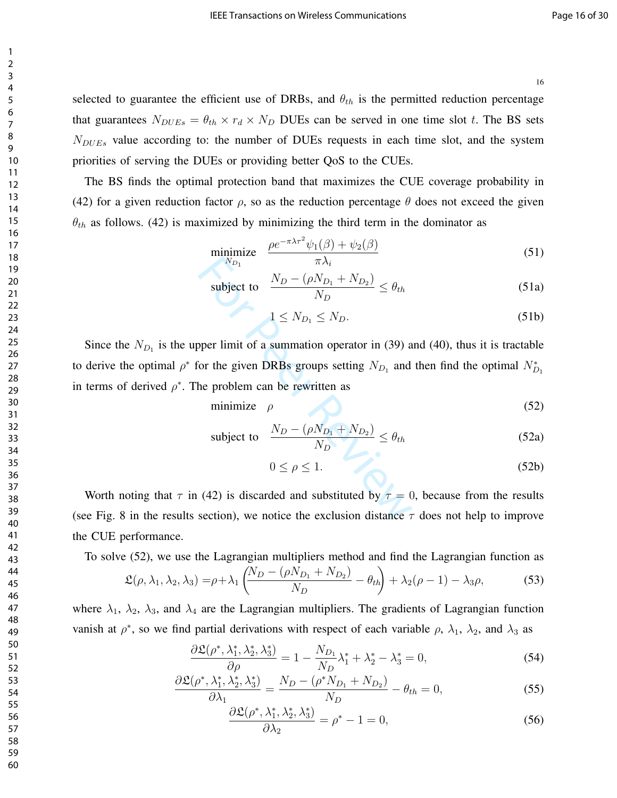selected to guarantee the efficient use of DRBs, and  $\theta_{th}$  is the permitted reduction percentage that guarantees  $N_{DUEs} = \theta_{th} \times r_d \times N_D$  DUEs can be served in one time slot t. The BS sets  $N_{DUEs}$  value according to: the number of DUEs requests in each time slot, and the system priorities of serving the DUEs or providing better QoS to the CUEs.

The BS finds the optimal protection band that maximizes the CUE coverage probability in (42) for a given reduction factor  $\rho$ , so as the reduction percentage  $\theta$  does not exceed the given  $\theta_{th}$  as follows. (42) is maximized by minimizing the third term in the dominator as

$$
\underset{N_{D_1}}{\text{minimize}} \quad \frac{\rho e^{-\pi \lambda \tau^2} \psi_1(\beta) + \psi_2(\beta)}{\pi \lambda_i} \tag{51}
$$

$$
\text{subject to} \quad \frac{N_D - (\rho N_{D_1} + N_{D_2})}{N_D} \le \theta_{th} \tag{51a}
$$

$$
1 \le N_{D_1} \le N_D. \tag{51b}
$$

W<sub>D<sub>1</sub></sub>  $\pi \lambda_i$ <br>
subject to  $\frac{N_D - (\rho N_{D_1} + N_{D_2})}{N_D} \le \theta_{th}$ <br>  $1 \le N_{D_1} \le N_D$ .<br>
oper limit of a summation operator in (39) a<br>
or the given DRBs groups setting  $N_{D_1}$  and<br>
he problem can be rewritten as<br>
minimize  $\rho$ <br> Since the  $N_{D_1}$  is the upper limit of a summation operator in (39) and (40), thus it is tractable to derive the optimal  $\rho^*$  for the given DRBs groups setting  $N_{D_1}$  and then find the optimal  $N_{D_1}^*$ in terms of derived  $\rho^*$ . The problem can be rewritten as

$$
\text{minimize} \quad \rho \tag{52}
$$

subject to 
$$
\frac{N_D - (\rho N_{D_1} + N_{D_2})}{N_D} \le \theta_{th}
$$
 (52a)

$$
0 \le \rho \le 1. \tag{52b}
$$

Worth noting that  $\tau$  in (42) is discarded and substituted by  $\tau = 0$ , because from the results (see Fig. 8 in the results section), we notice the exclusion distance  $\tau$  does not help to improve the CUE performance.

To solve (52), we use the Lagrangian multipliers method and find the Lagrangian function as

$$
\mathfrak{L}(\rho, \lambda_1, \lambda_2, \lambda_3) = \rho + \lambda_1 \left( \frac{N_D - (\rho N_{D_1} + N_{D_2})}{N_D} - \theta_{th} \right) + \lambda_2 (\rho - 1) - \lambda_3 \rho, \tag{53}
$$

where  $\lambda_1$ ,  $\lambda_2$ ,  $\lambda_3$ , and  $\lambda_4$  are the Lagrangian multipliers. The gradients of Lagrangian function vanish at  $\rho^*$ , so we find partial derivations with respect of each variable  $\rho$ ,  $\lambda_1$ ,  $\lambda_2$ , and  $\lambda_3$  as

$$
\frac{\partial \mathfrak{L}(\rho^*, \lambda_1^*, \lambda_2^*, \lambda_3^*)}{\partial \rho} = 1 - \frac{N_{D_1}}{N_D} \lambda_1^* + \lambda_2^* - \lambda_3^* = 0,\tag{54}
$$

$$
\frac{\partial \mathfrak{L}(\rho^*, \lambda_1^*, \lambda_2^*, \lambda_3^*)}{\partial \lambda_1} = \frac{N_D - (\rho^* N_{D_1} + N_{D_2})}{N_D} - \theta_{th} = 0,\tag{55}
$$

$$
\frac{\partial \mathfrak{L}(\rho^*, \lambda_1^*, \lambda_2^*, \lambda_3^*)}{\partial \lambda_2} = \rho^* - 1 = 0,
$$
\n(56)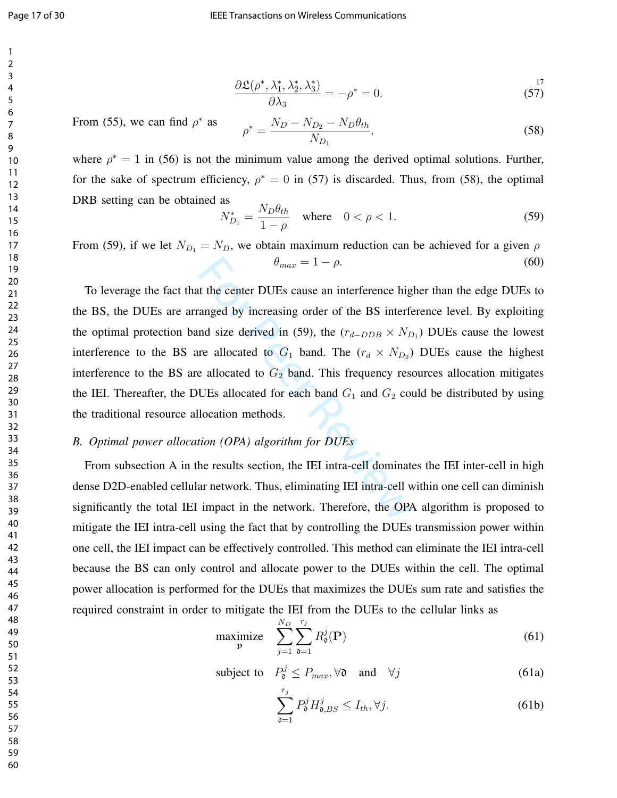$$
\frac{\partial \mathfrak{L}(\rho^*, \lambda_1^*, \lambda_2^*, \lambda_3^*)}{\partial \lambda_3} = -\rho^* = 0.
$$
\n(57)

From (55), we can find  $\rho^*$  as

$$
\rho^* = \frac{N_D - N_{D_2} - N_D \theta_{th}}{N_{D_1}},\tag{58}
$$

where  $\rho^* = 1$  in (56) is not the minimum value among the derived optimal solutions. Further, for the sake of spectrum efficiency,  $\rho^* = 0$  in (57) is discarded. Thus, from (58), the optimal DRB setting can be obtained as

$$
N_{D_1}^* = \frac{N_D \theta_{th}}{1 - \rho} \quad \text{where} \quad 0 < \rho < 1. \tag{59}
$$

From (59), if we let  $N_{D_1} = N_D$ , we obtain maximum reduction can be achieved for a given  $\rho$  $\theta_{max} = 1 - \rho.$  (60)

 $\theta_{max} = 1 - \rho$ .<br>
at the center DUEs cause an interference hig<br>
anged by increasing order of the BS interference<br>
allocated in (59), the  $(r_{d-DDB} \times N_D)$ <br>
re allocated to  $G_1$  band. The  $(r_d \times N_{D_2})$ <br>
e allocated to  $G_2$  band To leverage the fact that the center DUEs cause an interference higher than the edge DUEs to the BS, the DUEs are arranged by increasing order of the BS interference level. By exploiting the optimal protection band size derived in (59), the  $(r_{d-DDB} \times N_{D_1})$  DUEs cause the lowest interference to the BS are allocated to  $G_1$  band. The  $(r_d \times N_{D_2})$  DUEs cause the highest interference to the BS are allocated to  $G_2$  band. This frequency resources allocation mitigates the IEI. Thereafter, the DUEs allocated for each band  $G_1$  and  $G_2$  could be distributed by using the traditional resource allocation methods.

#### *B. Optimal power allocation (OPA) algorithm for DUEs*

From subsection A in the results section, the IEI intra-cell dominates the IEI inter-cell in high dense D2D-enabled cellular network. Thus, eliminating IEI intra-cell within one cell can diminish significantly the total IEI impact in the network. Therefore, the OPA algorithm is proposed to mitigate the IEI intra-cell using the fact that by controlling the DUEs transmission power within one cell, the IEI impact can be effectively controlled. This method can eliminate the IEI intra-cell because the BS can only control and allocate power to the DUEs within the cell. The optimal power allocation is performed for the DUEs that maximizes the DUEs sum rate and satisfies the required constraint in order to mitigate the IEI from the DUEs to the cellular links as

$$
\underset{\mathbf{p}}{\text{maximize}} \quad \sum_{j=1}^{N_D} \sum_{\mathfrak{d}=1}^{r_j} R_{\mathfrak{d}}^j(\mathbf{P}) \tag{61}
$$

subject to  $P_0^j \le P_{max}$ ,  $\forall \mathfrak{d}$  and  $\forall j$  (61a)

$$
\sum_{\mathfrak{d}=1}^{r_j} P_{\mathfrak{d}}^j H_{\mathfrak{d},BS}^j \le I_{th}, \forall j.
$$
 (61b)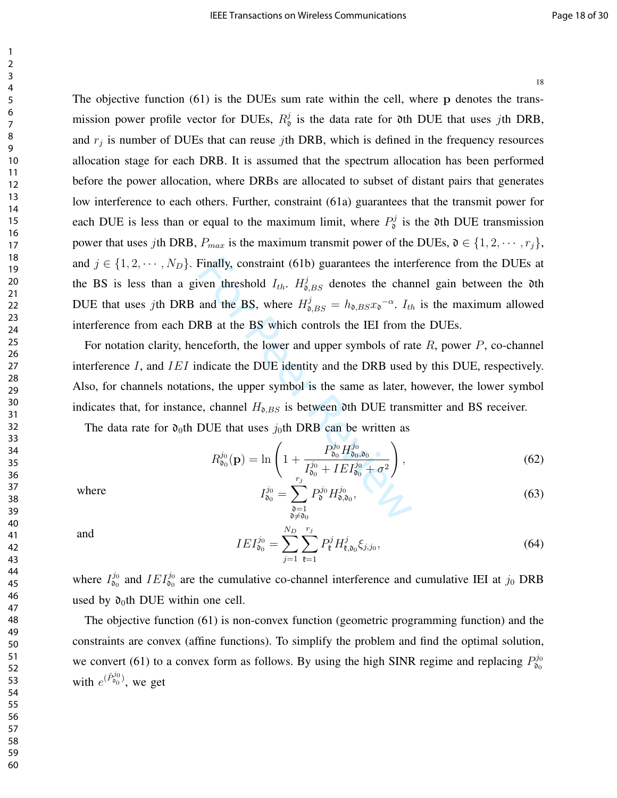Finally, constraint (61b) guarantees the inter<br>ven threshold  $I_{th}$ .  $H_{0,BS}^j$  denotes the chan<br>and the BS, where  $H_{0,BS}^j = h_{0,BS}x_0^{-\alpha}$ .  $I_{th}$ <br>RB at the BS which controls the IEI from t<br>nceforth, the lower and upper The objective function (61) is the DUEs sum rate within the cell, where p denotes the transmission power profile vector for DUEs,  $R_0^j$  is the data rate for 0th DUE that uses jth DRB, and  $r_j$  is number of DUEs that can reuse jth DRB, which is defined in the frequency resources allocation stage for each DRB. It is assumed that the spectrum allocation has been performed before the power allocation, where DRBs are allocated to subset of distant pairs that generates low interference to each others. Further, constraint (61a) guarantees that the transmit power for each DUE is less than or equal to the maximum limit, where  $P_0^j$  is the 0th DUE transmission power that uses jth DRB,  $P_{max}$  is the maximum transmit power of the DUEs,  $\mathfrak{d} \in \{1, 2, \cdots, r_j\}$ , and  $j \in \{1, 2, \dots, N_D\}$ . Finally, constraint (61b) guarantees the interference from the DUEs at the BS is less than a given threshold  $I_{th}$ .  $H_{\mathfrak{d},BS}^j$  denotes the channel gain between the oth DUE that uses jth DRB and the BS, where  $H_{\mathfrak{d},BS}^j = h_{\mathfrak{d},BS} x_{\mathfrak{d}}^{-\alpha}$ .  $I_{th}$  is the maximum allowed interference from each DRB at the BS which controls the IEI from the DUEs. For notation clarity, henceforth, the lower and upper symbols of rate  $R$ , power  $P$ , co-channel interference  $I$ , and  $IEI$  indicate the DUE identity and the DRB used by this DUE, respectively. Also, for channels notations, the upper symbol is the same as later, however, the lower symbol indicates that, for instance, channel  $H_{\mathfrak{d},BS}$  is between 0th DUE transmitter and BS receiver. The data rate for  $\mathfrak{d}_0$ th DUE that uses  $j_0$ th DRB can be written as  $R^{j_0}_{\mathfrak{d}_0}(\mathbf{p}) = \ln \Bigg( 1 +$  $P_{\mathfrak{d}_0}^{j_0} H_{\mathfrak{d}_0,\mathfrak{d}_0}^{j_0}$  $I^{j_0}_{\mathfrak{d}_0}+IEI^{j_0}_{\mathfrak{d}_0}+\sigma^2$ where  $j_0$  $\stackrel{\jmath_0}{\mathfrak{d}_0} =$  $\sum_{i=1}^{r_j}$ P  $j_0$  $\mathfrak{d}^{^{j0}H}$  $j_0$ 3 4 5 6 7 8 9 10 11 12 13 14 15 16 17 18 19 20 21 22 23 24 25 26 27 28 29 30 31 32 33 34 35 36 37 38

$$
I_{\mathfrak{d}_0}^{j_0} = \sum_{\substack{\mathfrak{d}=1 \\ \mathfrak{d} \neq \mathfrak{d}_0}}^{r_j} P_{\mathfrak{d}}^{j_0} H_{\mathfrak{d}, \mathfrak{d}_0}^{j_0},\tag{63}
$$

 $\setminus$ 

and

$$
IEI_{\mathfrak{d}_0}^{j_0} = \sum_{j=1}^{N_D} \sum_{\mathfrak{k}=1}^{r_j} P_{\mathfrak{k}}^j H_{\mathfrak{k},\mathfrak{d}_0}^j \xi_{j,j_0},\tag{64}
$$

where  $I_{\mathfrak{d}_0}^{j_0}$  and  $IEI_{\mathfrak{d}_0}^{j_0}$  are the cumulative co-channel interference and cumulative IEI at  $j_0$  DRB used by  $\mathfrak{d}_0$ th DUE within one cell.

The objective function (61) is non-convex function (geometric programming function) and the constraints are convex (affine functions). To simplify the problem and find the optimal solution, we convert (61) to a convex form as follows. By using the high SINR regime and replacing  $P_{\mathfrak{d}_0}^{j_0}$ with  $e^{(\hat{P}_{\mathfrak{d}_0}^{j_0})}$ , we get

1 2

18

 $(62)$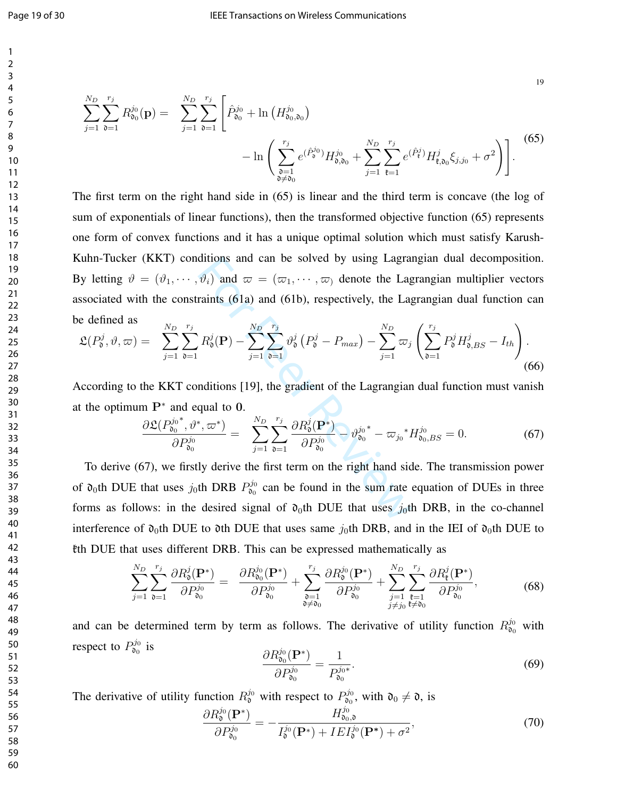$$
\sum_{j=1}^{N_D} \sum_{\mathfrak{d}=1}^{r_j} R_{\mathfrak{d}_0}^{j_0}(\mathbf{p}) = \sum_{j=1}^{N_D} \sum_{\mathfrak{d}=1}^{r_j} \left[ \hat{P}_{\mathfrak{d}_0}^{j_0} + \ln \left( H_{\mathfrak{d}_0, \mathfrak{d}_0}^{j_0} \right) - \ln \left( \sum_{\substack{\mathfrak{d}=1 \\ \mathfrak{d} \neq \mathfrak{d}_0}}^{r_j} e^{(\hat{P}_{\mathfrak{d}}^{j_0})} H_{\mathfrak{d}, \mathfrak{d}_0}^{j_0} + \sum_{j=1}^{N_D} \sum_{\mathfrak{k}=1}^{r_j} e^{(\hat{P}_{\mathfrak{k}}^{j})} H_{\mathfrak{k}, \mathfrak{d}_0}^{j} \xi_{j, j_0} + \sigma^2 \right) \right].
$$
\n(65)

ditions and can be solved by using Lagran  $\vartheta_i$ ) and  $\varpi = (\varpi_1, \dots, \varpi)$  denote the Lagrants (61a) and (61b), respectively, the Lagrants  $R_0^j(\mathbf{P}) - \sum_{j=1}^{N_D} \sum_{\mathbf{0}=1}^{r_j} \vartheta_{\mathbf{0}}^j (P_0^j - P_{max}) - \sum_{j=1}^{N_D} \varpi_j$ <br>ndi The first term on the right hand side in (65) is linear and the third term is concave (the log of sum of exponentials of linear functions), then the transformed objective function (65) represents one form of convex functions and it has a unique optimal solution which must satisfy Karush-Kuhn-Tucker (KKT) conditions and can be solved by using Lagrangian dual decomposition. By letting  $\vartheta = (\vartheta_1, \dots, \vartheta_i)$  and  $\varpi = (\varpi_1, \dots, \varpi_i)$  denote the Lagrangian multiplier vectors associated with the constraints (61a) and (61b), respectively, the Lagrangian dual function can be defined as

$$
\mathfrak{L}(P_{\mathfrak{d}}^{j}, \vartheta, \varpi) = \sum_{j=1}^{N_{D}} \sum_{\mathfrak{d}=1}^{r_{j}} R_{\mathfrak{d}}^{j}(\mathbf{P}) - \sum_{j=1}^{N_{D}} \sum_{\mathfrak{d}=1}^{r_{j}} \vartheta_{\mathfrak{d}}^{j} (P_{\mathfrak{d}}^{j} - P_{max}) - \sum_{j=1}^{N_{D}} \varpi_{j} \left( \sum_{\mathfrak{d}=1}^{r_{j}} P_{\mathfrak{d}}^{j} H_{\mathfrak{d},BS}^{j} - I_{th} \right).
$$
\n(66)

According to the KKT conditions [19], the gradient of the Lagrangian dual function must vanish at the optimum  $P^*$  and equal to 0.

$$
\frac{\partial \mathfrak{L}(P_{\mathfrak{d}_0}^{j_0*}, \vartheta^*, \varpi^*)}{\partial P_{\mathfrak{d}_0}^{j_0}} = \sum_{j=1}^{N_D} \sum_{\mathfrak{d}=1}^{r_j} \frac{\partial R_{\mathfrak{d}}^j(\mathbf{P}^*)}{\partial P_{\mathfrak{d}_0}^{j_0}} - \vartheta_{\mathfrak{d}_0}^{j_0*} - \varpi_{j_0}^* H_{\mathfrak{d}_0, BS}^{j_0} = 0. \tag{67}
$$

To derive (67), we firstly derive the first term on the right hand side. The transmission power of  $\mathfrak{d}_0$ th DUE that uses j<sub>0</sub>th DRB  $P_{\mathfrak{d}_0}^{j_0}$  can be found in the sum rate equation of DUEs in three forms as follows: in the desired signal of  $\mathfrak{d}_0$ th DUE that uses j<sub>0</sub>th DRB, in the co-channel interference of  $\mathfrak{d}_0$ th DUE to  $\mathfrak{d}$ th DUE that uses same  $j_0$ th DRB, and in the IEI of  $\mathfrak{d}_0$ th DUE to kth DUE that uses different DRB. This can be expressed mathematically as

$$
\sum_{j=1}^{N_D} \sum_{\mathfrak{d}=1}^{r_j} \frac{\partial R_{\mathfrak{d}}^j(\mathbf{P}^*)}{\partial P_{\mathfrak{d}_0}^{j_0}} = \frac{\partial R_{\mathfrak{d}_0}^{j_0}(\mathbf{P}^*)}{\partial P_{\mathfrak{d}_0}^{j_0}} + \sum_{\substack{\mathfrak{d}=1 \ \mathfrak{d} \neq 0}}^{r_j} \frac{\partial R_{\mathfrak{d}}^{j_0}(\mathbf{P}^*)}{\partial P_{\mathfrak{d}_0}^{j_0}} + \sum_{\substack{j=1 \ j \neq j_0}}^{N_D} \sum_{\substack{\mathfrak{k}=1 \ \mathfrak{d} \neq 0}}^{r_j} \frac{\partial R_{\mathfrak{k}}^j(\mathbf{P}^*)}{\partial P_{\mathfrak{d}_0}^{j_0}},\tag{68}
$$

and can be determined term by term as follows. The derivative of utility function  $R_{\mathfrak{d}_0}^{j_0}$  with respect to  $P_{\mathfrak{d}_0}^{j_0}$  is

$$
\frac{\partial R_{\mathfrak{d}_0}^{j_0}(\mathbf{P}^*)}{\partial P_{\mathfrak{d}_0}^{j_0}} = \frac{1}{P_{\mathfrak{d}_0}^{j_0*}}.\tag{69}
$$

The derivative of utility function  $R_0^{j_0}$  with respect to  $P_{\theta_0}^{j_0}$ , with  $\mathfrak{d}_0 \neq \mathfrak{d}$ , is

$$
\frac{\partial R_0^{j_0}(\mathbf{P}^*)}{\partial P_{\mathfrak{d}_0}^{j_0}} = -\frac{H_{\mathfrak{d}_0,\mathfrak{d}}^{j_0}}{I_{\mathfrak{d}}^{j_0}(\mathbf{P}^*) + IEI_{\mathfrak{d}}^{j_0}(\mathbf{P}^*) + \sigma^2},\tag{70}
$$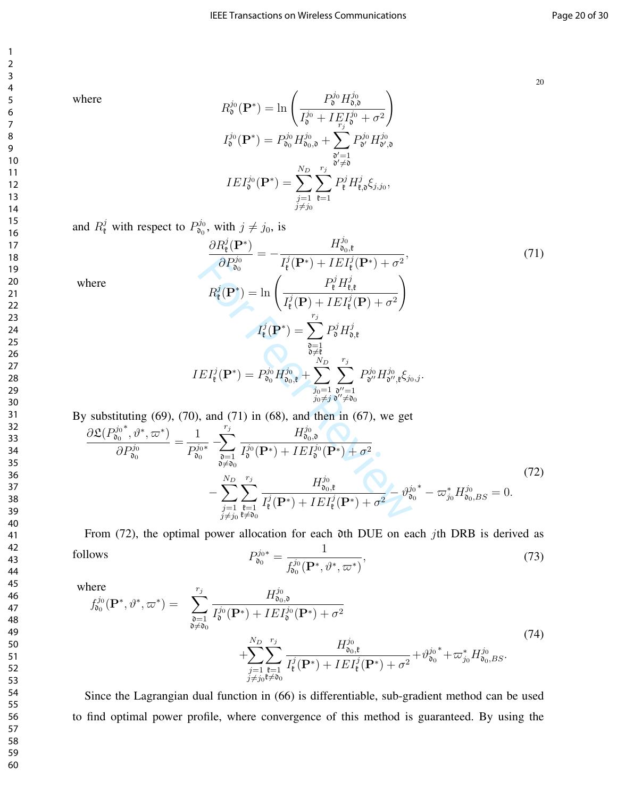where

$$
R_{\mathfrak{d}}^{j_{0}}(\mathbf{P}^{*}) = \ln \left( \frac{P_{\mathfrak{d}}^{j_{0}} H_{\mathfrak{d},\mathfrak{d}}^{j_{0}}}{I_{\mathfrak{d}}^{j_{0}} + I E_{r_{j}}^{j_{0}} + \sigma^{2}} \right)
$$

$$
I_{\mathfrak{d}}^{j_{0}}(\mathbf{P}^{*}) = P_{\mathfrak{d}_{0}}^{j_{0}} H_{\mathfrak{d}_{0},\mathfrak{d}}^{j_{0}} + \sum_{\substack{\mathfrak{d}' = 1 \\ \mathfrak{d}' \neq \mathfrak{d}}} P_{\mathfrak{d}'}^{j_{0}} H_{\mathfrak{d}',\mathfrak{d}}^{j_{0}}
$$

$$
IEI_{\mathfrak{d}}^{j_{0}}(\mathbf{P}^{*}) = \sum_{\substack{j=1 \\ j \neq j_{0}}}^{N_{D}} \sum_{\mathfrak{k}=1}^{r_{j}} P_{\mathfrak{k}}^{j} H_{\mathfrak{k},\mathfrak{d}}^{j} \xi_{j,j_{0}},
$$

and  $R^j_{\ell}$  with respect to  $P^{j_0}_{\delta_0}$ , with  $j \neq j_0$ , is

$$
\frac{\partial R_{\mathfrak{k}}^{j}(\mathbf{P}^{*})}{\partial P_{00}^{j_{0}}} = -\frac{H_{00,\mathfrak{k}}^{j_{0}}}{I_{\mathfrak{k}}^{j}(\mathbf{P}^{*}) + IEI_{\mathfrak{k}}^{j}(\mathbf{P}^{*}) + \sigma^{2}},
$$
\n
$$
R_{\mathfrak{k}}^{j}(\mathbf{P}^{*}) = \ln\left(\frac{P_{\mathfrak{k}}^{j}H_{\mathfrak{k},\mathfrak{k}}^{j}}{I_{\mathfrak{k}}^{j}(\mathbf{P}) + IEI_{\mathfrak{k}}^{j}(\mathbf{P}) + \sigma^{2}}\right)
$$
\n
$$
I_{\mathfrak{k}}^{j}(\mathbf{P}^{*}) = \sum_{\substack{\mathfrak{d}=\mathfrak{k} \\ \mathfrak{d}\neq \mathfrak{k} \\ \mathfrak{d}\neq \mathfrak{d}}} P_{\mathfrak{d}}^{j}H_{0,\mathfrak{k}}^{j}
$$
\n
$$
IEI_{\mathfrak{k}}^{j}(\mathbf{P}^{*}) = P_{00}^{j_{0}}H_{00,\mathfrak{k}}^{j_{0}} + \sum_{\substack{j_{0}=1 \\ j_{0}\neq j}}^{r_{j}} \sum_{\substack{\mathfrak{d}'=1 \\ \mathfrak{d}\neq \mathfrak{d}' \neq \mathfrak{d} \\ j_{0}\neq j}}^{r_{j}} P_{\mathfrak{d}''}^{j_{0}}H_{\mathfrak{d}'',\mathfrak{k}}^{j_{0}} \xi_{j_{0},j}.
$$
\n70), and (71) in (68), and then in (67), we get\n
$$
\frac{1}{P_{00}^{j_{0}*}}^{r_{j}} - \sum_{\substack{\mathfrak{d}=\mathfrak{d} \\ \mathfrak{d}\neq \mathfrak{d} \\ j\neq j_{0}}}^{r_{j}} \frac{H_{00,\mathfrak{d}}^{j_{0}}}{I_{\mathfrak{d}}^{j_{0}}(\mathbf{P}^{*}) + IEI_{\mathfrak{k}}^{j_{0}}(\mathbf{P}^{*}) + \sigma^{2}} - \vartheta_{00}^{j_{0}*} - \varpi_{j_{0}}^{*}H_{00,BS}^{j_{0}} = 0.
$$

where

By substituting  $(69)$ ,  $(70)$ , and  $(71)$  in  $(68)$ , and then in  $(67)$ , we get

$$
\frac{\partial \mathfrak{L}(P_{\mathfrak{d}_0}^{j_0^*}, \vartheta^*, \varpi^*)}{\partial P_{\mathfrak{d}_0}^{j_0}} = \frac{1}{P_{\mathfrak{d}_0}^{j_0*}} \sum_{\substack{\mathfrak{d} = 1 \\ \mathfrak{d} \neq \mathfrak{d}_0}}^{r_j} \frac{H_{\mathfrak{d}_0, \mathfrak{d}}^{j_0}}{I_{\mathfrak{d}}^{j_0}(\mathbf{P}^*) + IEI_{\mathfrak{d}}^{j_0}(\mathbf{P}^*) + \sigma^2} - \sum_{\substack{j=1 \\ j \neq j_0}}^{N_D} \sum_{\substack{\mathfrak{k} = 1 \\ \mathfrak{k} \neq \mathfrak{d}_0}}^{r_j} \frac{H_{\mathfrak{d}_0, \mathfrak{k}}^{j_0}}{I_{\mathfrak{k}}^{j}(\mathbf{P}^*) + IEI_{\mathfrak{k}}^{j}(\mathbf{P}^*) + \sigma^2} - \vartheta_{\mathfrak{d}_0}^{j_0*} - \varpi_{j_0}^* H_{\mathfrak{d}_0, BS}^{j_0} = 0.
$$
\n(72)

From (72), the optimal power allocation for each *oth* DUE on each *j*th DRB is derived as follows\n
$$
P_{\mathfrak{d}_0}^{j_0*} = \frac{1}{f_{\mathfrak{d}_0}^{j_0}(\mathbf{P}^*, \vartheta^*, \varpi^*)},\tag{73}
$$

where

$$
f_{\mathfrak{d}_0}^{j_0}(\mathbf{P}^*, \vartheta^*, \varpi^*) = \sum_{\substack{\mathfrak{d} = 1 \\ \mathfrak{d} \neq \mathfrak{d}_0}}^{r_j} \frac{H_{\mathfrak{d}_0, \mathfrak{d}}^{j_0}}{I_{\mathfrak{d}}^{j_0}(\mathbf{P}^*) + IEI_{\mathfrak{d}}^{j_0}(\mathbf{P}^*) + \sigma^2} + \sum_{\substack{j=1 \\ j \neq j_0}}^{N_D} \sum_{\substack{r_j \\ \mathfrak{k} = 1 \\ j \neq j_0}}^{r_j} \frac{H_{\mathfrak{d}_0, \mathfrak{k}}^{j_0}}{I_{\mathfrak{k}}^{j}(\mathbf{P}^*) + IEI_{\mathfrak{k}}^{j}(\mathbf{P}^*) + \sigma^2} + \vartheta_{\mathfrak{d}_0}^{j_0*} + \varpi_{j_0}^* H_{\mathfrak{d}_0, BS}^{j_0}.
$$
\n
$$
(74)
$$

Since the Lagrangian dual function in (66) is differentiable, sub-gradient method can be used to find optimal power profile, where convergence of this method is guaranteed. By using the

20

, (71)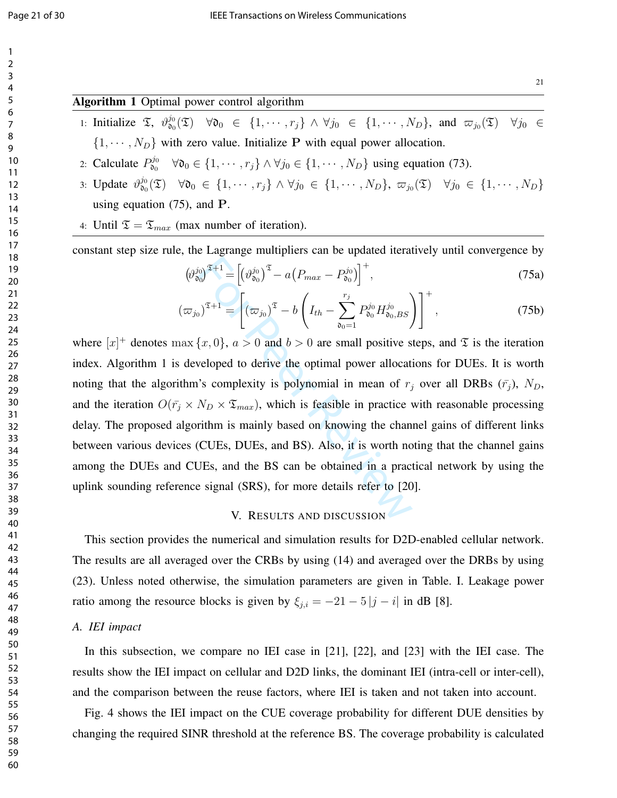#### Algorithm 1 Optimal power control algorithm

1: Initialize  $\mathfrak{T}$ ,  $\vartheta_{\mathfrak{d}_0}^{j_0}(\mathfrak{T}) \quad \forall \mathfrak{d}_0 \in \{1, \cdots, r_j\} \land \forall j_0 \in \{1, \cdots, N_D\}$ , and  $\varpi_{j_0}(\mathfrak{T}) \quad \forall j_0 \in$  $\{1, \dots, N_D\}$  with zero value. Initialize P with equal power allocation.

2: Calculate  $P_{\mathfrak{d}_0}^{j_0} \quad \forall \mathfrak{d}_0 \in \{1, \cdots, r_j\} \land \forall j_0 \in \{1, \cdots, N_D\}$  using equation (73).

- 3: Update  $\vartheta_{\mathfrak{d}_0}^{j_0}(\mathfrak{T}) \quad \forall \mathfrak{d}_0 \in \{1, \cdots, r_j\} \land \forall j_0 \in \{1, \cdots, N_D\}, \ \varpi_{j_0}(\mathfrak{T}) \quad \forall j_0 \in \{1, \cdots, N_D\}$ using equation (75), and P.
- 4: Until  $\mathfrak{T} = \mathfrak{T}_{max}$  (max number of iteration).

constant step size rule, the Lagrange multipliers can be updated iteratively until convergence by

$$
\left(\vartheta_{\mathfrak{d}_0}^{j_0}\right)^{\mathfrak{T}+1} = \left[\left(\vartheta_{\mathfrak{d}_0}^{j_0}\right)^{\mathfrak{T}} - a\left(P_{max} - P_{\mathfrak{d}_0}^{j_0}\right)\right]^+,
$$
\n(75a)

$$
(\varpi_{j_0})^{\mathfrak{T}+1} = \left[ (\varpi_{j_0})^{\mathfrak{T}} - b \left( I_{th} - \sum_{\mathfrak{d}_0 = 1}^{r_j} P_{\mathfrak{d}_0}^{j_0} H_{\mathfrak{d}_0, BS}^{j_0} \right) \right]^+,
$$
 (75b)

 $\begin{aligned} \n\begin{bmatrix} \n\dot{\phi}_0 \n\end{bmatrix}^{\mathfrak{T}+1} &= \left[ \left( \vartheta_{0_0}^{j_0} \right)^{\mathfrak{T}} - a \left( P_{max} - P_{0_0}^{j_0} \right) \right]^+, \\ \n\end{aligned}$   $\begin{aligned} \n\begin{bmatrix} \n\dot{\phi}_0 \n\end{bmatrix}^{\mathfrak{T}+1} &= \left[ \left( \varpi_{j_0} \right)^{\mathfrak{T}} - b \left( I_{th} - \sum_{\delta_0=1}^{r_j} P_{0_0}^{j_0} H_{0_0, BS}^{$ where  $[x]^+$  denotes  $\max\{x, 0\}$ ,  $a > 0$  and  $b > 0$  are small positive steps, and  $\mathfrak T$  is the iteration index. Algorithm 1 is developed to derive the optimal power allocations for DUEs. It is worth noting that the algorithm's complexity is polynomial in mean of  $r_j$  over all DRBs ( $\bar{r}_j$ ),  $N_D$ , and the iteration  $O(\bar{r}_j \times N_D \times \mathfrak{T}_{max})$ , which is feasible in practice with reasonable processing delay. The proposed algorithm is mainly based on knowing the channel gains of different links between various devices (CUEs, DUEs, and BS). Also, it is worth noting that the channel gains among the DUEs and CUEs, and the BS can be obtained in a practical network by using the uplink sounding reference signal (SRS), for more details refer to [20].

#### V. RESULTS AND DISCUSSION

This section provides the numerical and simulation results for D2D-enabled cellular network. The results are all averaged over the CRBs by using (14) and averaged over the DRBs by using (23). Unless noted otherwise, the simulation parameters are given in Table. I. Leakage power ratio among the resource blocks is given by  $\xi_{j,i} = -21 - 5 |j - i|$  in dB [8].

#### *A. IEI impact*

In this subsection, we compare no IEI case in [21], [22], and [23] with the IEI case. The results show the IEI impact on cellular and D2D links, the dominant IEI (intra-cell or inter-cell), and the comparison between the reuse factors, where IEI is taken and not taken into account.

Fig. 4 shows the IEI impact on the CUE coverage probability for different DUE densities by changing the required SINR threshold at the reference BS. The coverage probability is calculated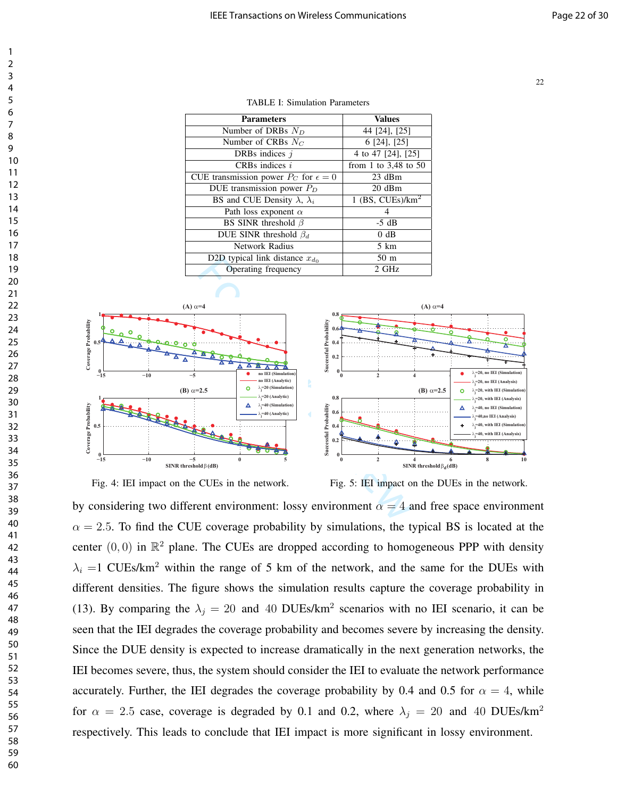| <b>Parameters</b>                               | <b>Values</b>            |
|-------------------------------------------------|--------------------------|
| Number of DRBs $N_D$                            | 44 [24], [25]            |
| Number of CRBs $N_C$                            | 6 [24], [25]             |
| DRBs indices $i$                                | 4 to 47 [24], [25]       |
| CRBs indices $i$                                | from 1 to $3,48$ to $50$ |
| CUE transmission power $P_C$ for $\epsilon = 0$ | $23$ dBm                 |
| DUE transmission power $P_D$                    | $20$ dBm                 |
| BS and CUE Density $\lambda$ , $\lambda_i$      | 1 (BS, $CUEs/km2$        |
| Path loss exponent $\alpha$                     |                          |
| BS SINR threshold $\beta$                       | $-5$ dB                  |
| DUE SINR threshold $\beta_d$                    | 0 dB                     |
| <b>Network Radius</b>                           | 5 km                     |
| D2D typical link distance $x_{d_0}$             | 50 <sub>m</sub>          |
| Operating frequency                             | 2 GHz                    |

TABLE I: Simulation Parameters





Fig. 5: IEI impact on the DUEs in the network.

by considering two different environment: lossy environment  $\alpha = 4$  and free space environment  $\alpha = 2.5$ . To find the CUE coverage probability by simulations, the typical BS is located at the center  $(0, 0)$  in  $\mathbb{R}^2$  plane. The CUEs are dropped according to homogeneous PPP with density  $\lambda_i = 1$  CUEs/km<sup>2</sup> within the range of 5 km of the network, and the same for the DUEs with different densities. The figure shows the simulation results capture the coverage probability in (13). By comparing the  $\lambda_j = 20$  and 40 DUEs/km<sup>2</sup> scenarios with no IEI scenario, it can be seen that the IEI degrades the coverage probability and becomes severe by increasing the density. Since the DUE density is expected to increase dramatically in the next generation networks, the IEI becomes severe, thus, the system should consider the IEI to evaluate the network performance accurately. Further, the IEI degrades the coverage probability by 0.4 and 0.5 for  $\alpha = 4$ , while for  $\alpha = 2.5$  case, coverage is degraded by 0.1 and 0.2, where  $\lambda_i = 20$  and 40 DUEs/km<sup>2</sup> respectively. This leads to conclude that IEI impact is more significant in lossy environment.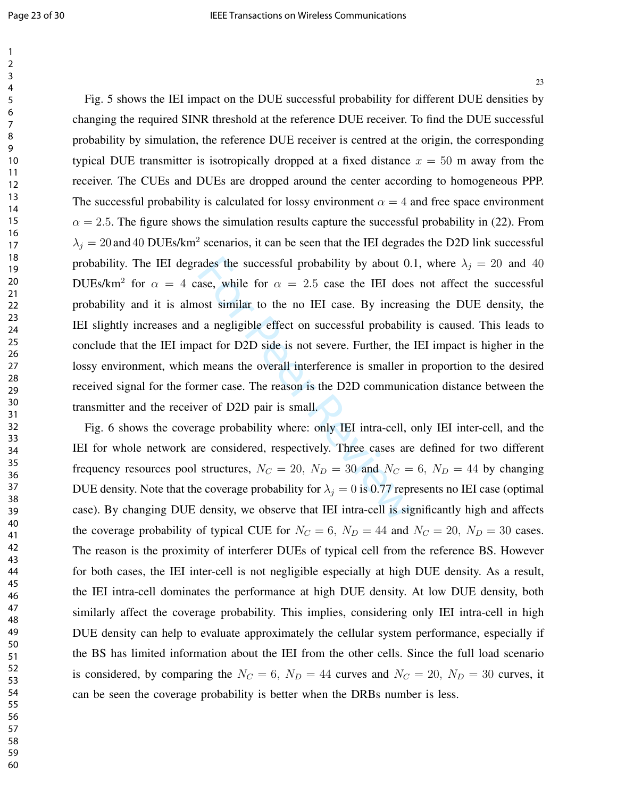ades the successful probability by about 0.<br>ase, while for  $\alpha = 2.5$  case the IEI does<br>ost similar to the no IEI case. By increas<br>la negligible effect on successful probabili<br>act for D2D side is not severe. Further, the<br>m Fig. 5 shows the IEI impact on the DUE successful probability for different DUE densities by changing the required SINR threshold at the reference DUE receiver. To find the DUE successful probability by simulation, the reference DUE receiver is centred at the origin, the corresponding typical DUE transmitter is isotropically dropped at a fixed distance  $x = 50$  m away from the receiver. The CUEs and DUEs are dropped around the center according to homogeneous PPP. The successful probability is calculated for lossy environment  $\alpha = 4$  and free space environment  $\alpha = 2.5$ . The figure shows the simulation results capture the successful probability in (22). From  $\lambda_j = 20$  and 40 DUEs/km<sup>2</sup> scenarios, it can be seen that the IEI degrades the D2D link successful probability. The IEI degrades the successful probability by about 0.1, where  $\lambda_i = 20$  and 40 DUEs/km<sup>2</sup> for  $\alpha = 4$  case, while for  $\alpha = 2.5$  case the IEI does not affect the successful probability and it is almost similar to the no IEI case. By increasing the DUE density, the IEI slightly increases and a negligible effect on successful probability is caused. This leads to conclude that the IEI impact for D2D side is not severe. Further, the IEI impact is higher in the lossy environment, which means the overall interference is smaller in proportion to the desired received signal for the former case. The reason is the D2D communication distance between the transmitter and the receiver of D2D pair is small.

Fig. 6 shows the coverage probability where: only IEI intra-cell, only IEI inter-cell, and the IEI for whole network are considered, respectively. Three cases are defined for two different frequency resources pool structures,  $N_C = 20$ ,  $N_D = 30$  and  $N_C = 6$ ,  $N_D = 44$  by changing DUE density. Note that the coverage probability for  $\lambda_j = 0$  is 0.77 represents no IEI case (optimal case). By changing DUE density, we observe that IEI intra-cell is significantly high and affects the coverage probability of typical CUE for  $N_C = 6$ ,  $N_D = 44$  and  $N_C = 20$ ,  $N_D = 30$  cases. The reason is the proximity of interferer DUEs of typical cell from the reference BS. However for both cases, the IEI inter-cell is not negligible especially at high DUE density. As a result, the IEI intra-cell dominates the performance at high DUE density. At low DUE density, both similarly affect the coverage probability. This implies, considering only IEI intra-cell in high DUE density can help to evaluate approximately the cellular system performance, especially if the BS has limited information about the IEI from the other cells. Since the full load scenario is considered, by comparing the  $N_C = 6$ ,  $N_D = 44$  curves and  $N_C = 20$ ,  $N_D = 30$  curves, it can be seen the coverage probability is better when the DRBs number is less.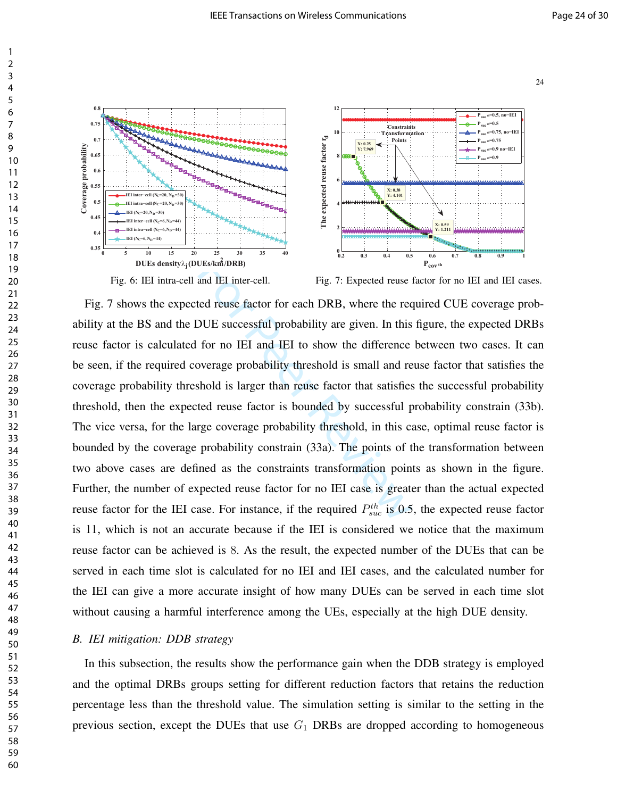

Fig. 6: IEI intra-cell and IEI inter-cell.

Fig. 7: Expected reuse factor for no IEI and IEI cases.

UES/km<sup>2</sup>/DRB)<br>and IEI inter-cell. Fig. 7: Expected reuse is<br>bed reuse factor for each DRB, where the rec.<br>DUE successful probability are given. In this<br>for no IEI and IEI to show the difference<br>overage probability thresh Fig. 7 shows the expected reuse factor for each DRB, where the required CUE coverage probability at the BS and the DUE successful probability are given. In this figure, the expected DRBs reuse factor is calculated for no IEI and IEI to show the difference between two cases. It can be seen, if the required coverage probability threshold is small and reuse factor that satisfies the coverage probability threshold is larger than reuse factor that satisfies the successful probability threshold, then the expected reuse factor is bounded by successful probability constrain (33b). The vice versa, for the large coverage probability threshold, in this case, optimal reuse factor is bounded by the coverage probability constrain (33a). The points of the transformation between two above cases are defined as the constraints transformation points as shown in the figure. Further, the number of expected reuse factor for no IEI case is greater than the actual expected reuse factor for the IEI case. For instance, if the required  $P_{suc}^{th}$  is 0.5, the expected reuse factor is 11, which is not an accurate because if the IEI is considered we notice that the maximum reuse factor can be achieved is 8. As the result, the expected number of the DUEs that can be served in each time slot is calculated for no IEI and IEI cases, and the calculated number for the IEI can give a more accurate insight of how many DUEs can be served in each time slot without causing a harmful interference among the UEs, especially at the high DUE density.

#### *B. IEI mitigation: DDB strategy*

In this subsection, the results show the performance gain when the DDB strategy is employed and the optimal DRBs groups setting for different reduction factors that retains the reduction percentage less than the threshold value. The simulation setting is similar to the setting in the previous section, except the DUEs that use  $G_1$  DRBs are dropped according to homogeneous

1

Coverage probability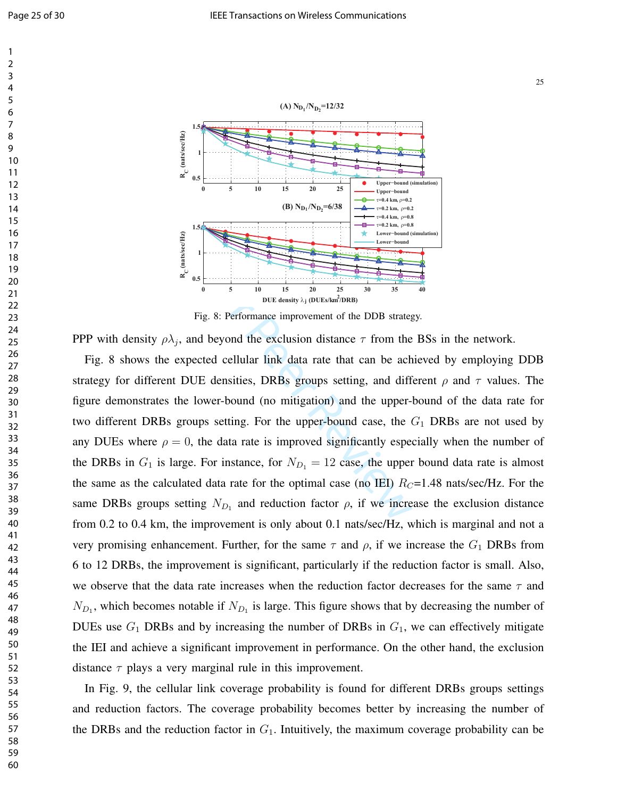



Fig. 8: Performance improvement of the DDB strategy.

PPP with density  $\rho \lambda_j$ , and beyond the exclusion distance  $\tau$  from the BSs in the network.

For instance, for  $N_{D_1} = 12$  case, the upper-<br>denotes  $N_{D_1}$  and reduced the density  $\lambda_1$  (DUE s/km<sup>2</sup>/DRB)<br>Fig. 8: Performance improvement of the DDB strateged beyond the exclusion distance  $\tau$  from the<br>cted cellu Fig. 8 shows the expected cellular link data rate that can be achieved by employing DDB strategy for different DUE densities, DRBs groups setting, and different  $\rho$  and  $\tau$  values. The figure demonstrates the lower-bound (no mitigation) and the upper-bound of the data rate for two different DRBs groups setting. For the upper-bound case, the  $G_1$  DRBs are not used by any DUEs where  $\rho = 0$ , the data rate is improved significantly especially when the number of the DRBs in  $G_1$  is large. For instance, for  $N_{D_1} = 12$  case, the upper bound data rate is almost the same as the calculated data rate for the optimal case (no IEI)  $R_C$ =1.48 nats/sec/Hz. For the same DRBs groups setting  $N_{D_1}$  and reduction factor  $\rho$ , if we increase the exclusion distance from 0.2 to 0.4 km, the improvement is only about 0.1 nats/sec/Hz, which is marginal and not a very promising enhancement. Further, for the same  $\tau$  and  $\rho$ , if we increase the  $G_1$  DRBs from 6 to 12 DRBs, the improvement is significant, particularly if the reduction factor is small. Also, we observe that the data rate increases when the reduction factor decreases for the same  $\tau$  and  $N_{D_1}$ , which becomes notable if  $N_{D_1}$  is large. This figure shows that by decreasing the number of DUEs use  $G_1$  DRBs and by increasing the number of DRBs in  $G_1$ , we can effectively mitigate the IEI and achieve a significant improvement in performance. On the other hand, the exclusion distance  $\tau$  plays a very marginal rule in this improvement.

In Fig. 9, the cellular link coverage probability is found for different DRBs groups settings and reduction factors. The coverage probability becomes better by increasing the number of the DRBs and the reduction factor in  $G_1$ . Intuitively, the maximum coverage probability can be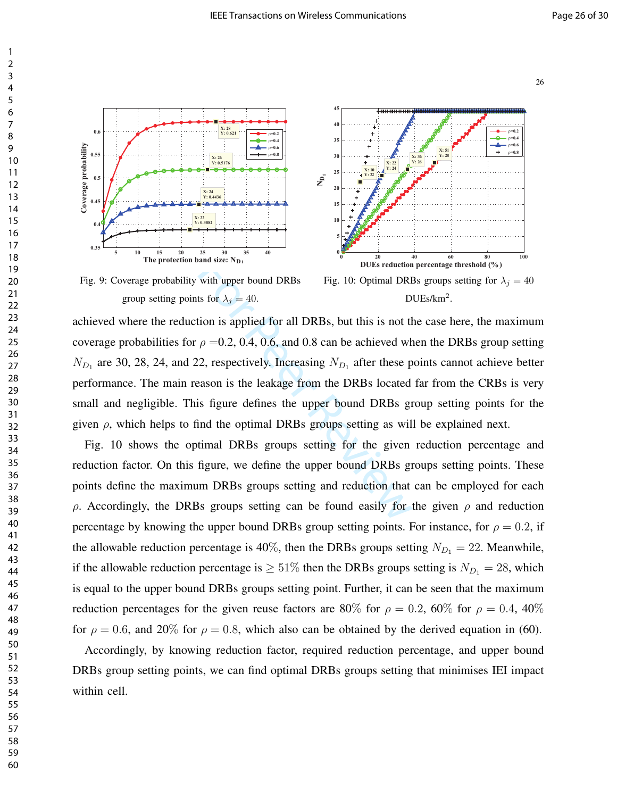



Fig. 9: Coverage probability with upper bound DRBs group setting points for  $\lambda_j = 40$ .



Fig. 10: Optimal DRBs groups setting for  $\lambda_j = 40$ DUEs/km<sup>2</sup>.

with upper bound DRBs Fig. 10: Optimal DRB<br>
st for  $\lambda_j = 40$ . D<br>
tion is applied for all DRBs, but this is not the<br>  $\rho = 0.2, 0.4, 0.6,$  and 0.8 can be achieved wh<br>
2, respectively. Increasing  $N_{D_1}$  after these p<br>
easo achieved where the reduction is applied for all DRBs, but this is not the case here, the maximum coverage probabilities for  $\rho = 0.2, 0.4, 0.6,$  and 0.8 can be achieved when the DRBs group setting  $N_{D_1}$  are 30, 28, 24, and 22, respectively. Increasing  $N_{D_1}$  after these points cannot achieve better performance. The main reason is the leakage from the DRBs located far from the CRBs is very small and negligible. This figure defines the upper bound DRBs group setting points for the given  $\rho$ , which helps to find the optimal DRBs groups setting as will be explained next.

Fig. 10 shows the optimal DRBs groups setting for the given reduction percentage and reduction factor. On this figure, we define the upper bound DRBs groups setting points. These points define the maximum DRBs groups setting and reduction that can be employed for each ρ. Accordingly, the DRBs groups setting can be found easily for the given ρ and reduction percentage by knowing the upper bound DRBs group setting points. For instance, for  $\rho = 0.2$ , if the allowable reduction percentage is 40%, then the DRBs groups setting  $N_{D_1} = 22$ . Meanwhile, if the allowable reduction percentage is  $\geq 51\%$  then the DRBs groups setting is  $N_{D_1} = 28$ , which is equal to the upper bound DRBs groups setting point. Further, it can be seen that the maximum reduction percentages for the given reuse factors are 80% for  $\rho = 0.2$ , 60% for  $\rho = 0.4$ , 40% for  $\rho = 0.6$ , and 20% for  $\rho = 0.8$ , which also can be obtained by the derived equation in (60).

Accordingly, by knowing reduction factor, required reduction percentage, and upper bound DRBs group setting points, we can find optimal DRBs groups setting that minimises IEI impact within cell.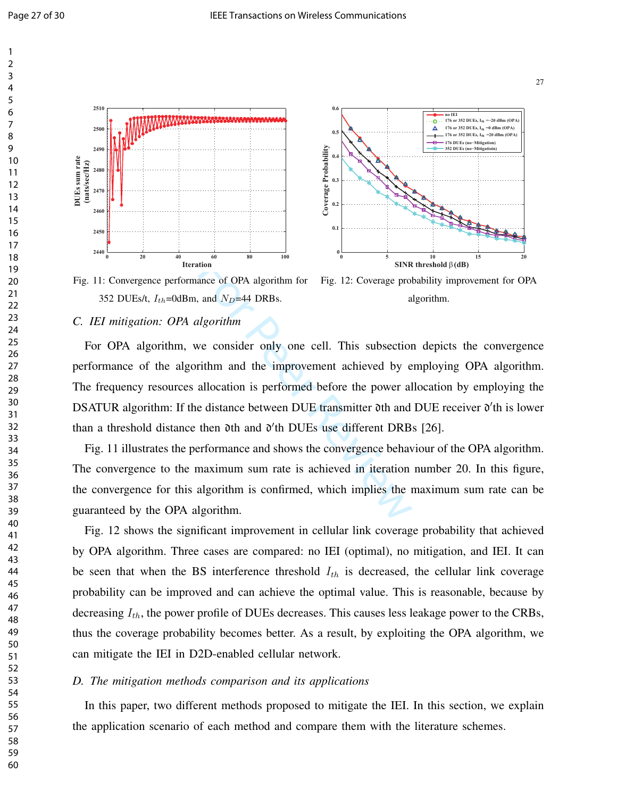



Fig. 11: Convergence performance of OPA algorithm for 352 DUEs/t,  $I_{th}$ =0dBm, and  $N_D$ =44 DRBs.

#### Fig. 12: Coverage probability improvement for OPA algorithm.

#### *C. IEI mitigation: OPA algorithm*

For all order of open and N<sub>D</sub>=44 DRBs.<br>
Expansion and N<sub>D</sub>=44 DRBs.<br>
Expansion and N<sub>D</sub>=44 DRBs.<br>
Expansion and the improvement achieved by e<br>
allocation is performed before the power all<br>
e distance between DUE transmit For OPA algorithm, we consider only one cell. This subsection depicts the convergence performance of the algorithm and the improvement achieved by employing OPA algorithm. The frequency resources allocation is performed before the power allocation by employing the DSATUR algorithm: If the distance between DUE transmitter 0th and DUE receiver 0'th is lower than a threshold distance then  $\delta$ th and  $\delta'$ th DUEs use different DRBs [26].

Fig. 11 illustrates the performance and shows the convergence behaviour of the OPA algorithm. The convergence to the maximum sum rate is achieved in iteration number 20. In this figure, the convergence for this algorithm is confirmed, which implies the maximum sum rate can be guaranteed by the OPA algorithm.

Fig. 12 shows the significant improvement in cellular link coverage probability that achieved by OPA algorithm. Three cases are compared: no IEI (optimal), no mitigation, and IEI. It can be seen that when the BS interference threshold  $I_{th}$  is decreased, the cellular link coverage probability can be improved and can achieve the optimal value. This is reasonable, because by decreasing  $I_{th}$ , the power profile of DUEs decreases. This causes less leakage power to the CRBs, thus the coverage probability becomes better. As a result, by exploiting the OPA algorithm, we can mitigate the IEI in D2D-enabled cellular network.

#### *D. The mitigation methods comparison and its applications*

In this paper, two different methods proposed to mitigate the IEI. In this section, we explain the application scenario of each method and compare them with the literature schemes.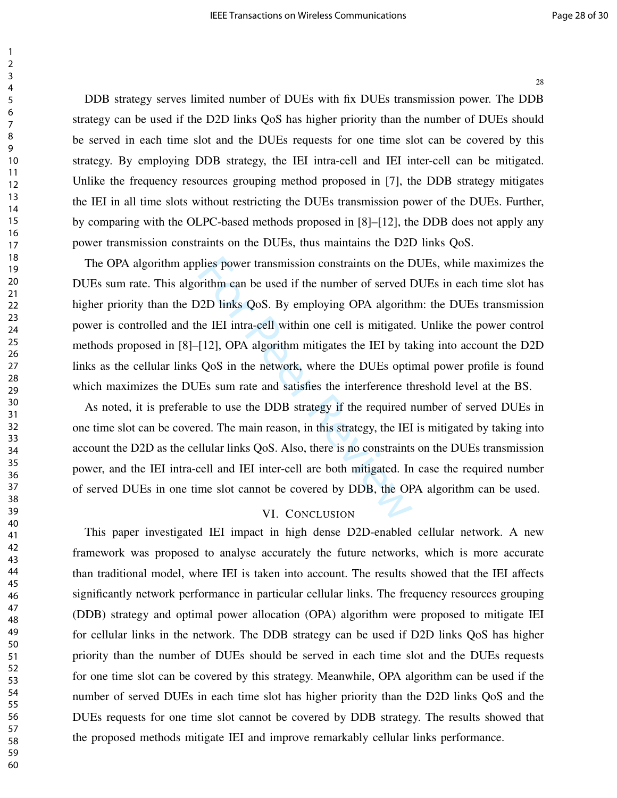DDB strategy serves limited number of DUEs with fix DUEs transmission power. The DDB strategy can be used if the D2D links QoS has higher priority than the number of DUEs should be served in each time slot and the DUEs requests for one time slot can be covered by this strategy. By employing DDB strategy, the IEI intra-cell and IEI inter-cell can be mitigated. Unlike the frequency resources grouping method proposed in [7], the DDB strategy mitigates the IEI in all time slots without restricting the DUEs transmission power of the DUEs. Further, by comparing with the OLPC-based methods proposed in [8]–[12], the DDB does not apply any power transmission constraints on the DUEs, thus maintains the D2D links QoS.

blies power transmission constraints on the L<br>prithm can be used if the number of served I<br>22D links QoS. By employing OPA algorith<br>he IEI intra-cell within one cell is mitigated<br>[12], OPA algorithm mitigates the IEI by ta The OPA algorithm applies power transmission constraints on the DUEs, while maximizes the DUEs sum rate. This algorithm can be used if the number of served DUEs in each time slot has higher priority than the D2D links QoS. By employing OPA algorithm: the DUEs transmission power is controlled and the IEI intra-cell within one cell is mitigated. Unlike the power control methods proposed in [8]–[12], OPA algorithm mitigates the IEI by taking into account the D2D links as the cellular links QoS in the network, where the DUEs optimal power profile is found which maximizes the DUEs sum rate and satisfies the interference threshold level at the BS.

As noted, it is preferable to use the DDB strategy if the required number of served DUEs in one time slot can be covered. The main reason, in this strategy, the IEI is mitigated by taking into account the D2D as the cellular links QoS. Also, there is no constraints on the DUEs transmission power, and the IEI intra-cell and IEI inter-cell are both mitigated. In case the required number of served DUEs in one time slot cannot be covered by DDB, the OPA algorithm can be used.

#### VI. CONCLUSION

This paper investigated IEI impact in high dense D2D-enabled cellular network. A new framework was proposed to analyse accurately the future networks, which is more accurate than traditional model, where IEI is taken into account. The results showed that the IEI affects significantly network performance in particular cellular links. The frequency resources grouping (DDB) strategy and optimal power allocation (OPA) algorithm were proposed to mitigate IEI for cellular links in the network. The DDB strategy can be used if D2D links QoS has higher priority than the number of DUEs should be served in each time slot and the DUEs requests for one time slot can be covered by this strategy. Meanwhile, OPA algorithm can be used if the number of served DUEs in each time slot has higher priority than the D2D links QoS and the DUEs requests for one time slot cannot be covered by DDB strategy. The results showed that the proposed methods mitigate IEI and improve remarkably cellular links performance.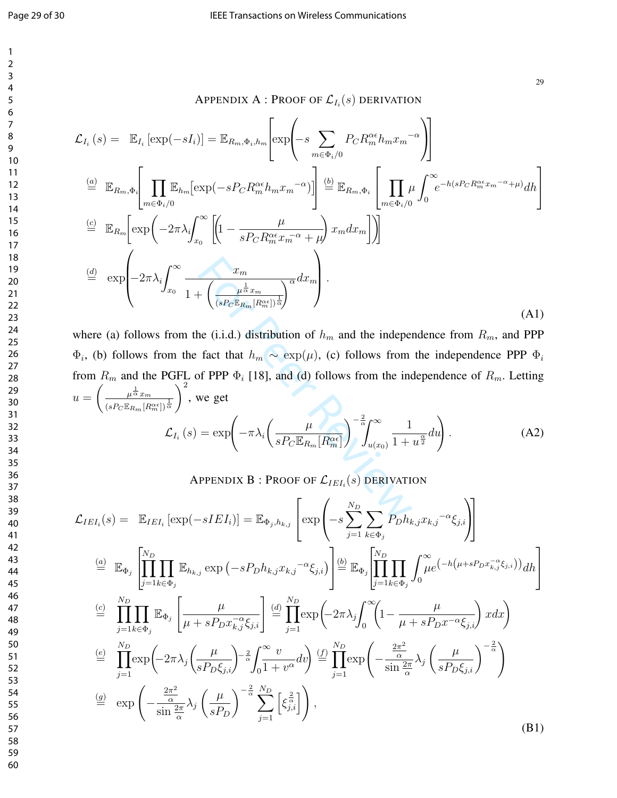29

APPENDIX A : Proof of  $\mathcal{L}_{I_i}(s)$  derivation

$$
\mathcal{L}_{I_i}(s) = \mathbb{E}_{I_i} [\exp(-sI_i)] = \mathbb{E}_{R_m, \Phi_i, h_m} [\exp\left(-s \sum_{m \in \Phi_i/0} P_C R_m^{\alpha \epsilon} h_m x_m^{-\alpha}\right)]
$$
  
\n
$$
\stackrel{(a)}{=} \mathbb{E}_{R_m, \Phi_i} \Bigg[ \prod_{m \in \Phi_i/0} \mathbb{E}_{h_m} [\exp(-s P_C R_m^{\alpha \epsilon} h_m x_m^{-\alpha})] \Bigg] \stackrel{(b)}{=} \mathbb{E}_{R_m, \Phi_i} \Bigg[ \prod_{m \in \Phi_i/0} \mu \int_0^{\infty} e^{-h(s P_C R_m^{\alpha \epsilon} x_m^{-\alpha} + \mu)} dh \Bigg]
$$
  
\n
$$
\stackrel{(c)}{=} \mathbb{E}_{R_m} [\exp\left(-2\pi \lambda_i \int_{x_0}^{\infty} \left[1 - \frac{\mu}{s P_C R_m^{\alpha \epsilon} x_m^{-\alpha} + \mu} \right) x_m dx_m \right] \Bigg]
$$
  
\n
$$
\stackrel{(d)}{=} \exp\left(-2\pi \lambda_i \int_{x_0}^{\infty} \frac{x_m}{1 + \left(\frac{\mu^{\frac{1}{\alpha}} x_m}{(s P_C \mathbb{E}_{R_m} [R_m^{\alpha \epsilon}])^{\frac{1}{\alpha}}}\right)^{\alpha} dx_m \Bigg].
$$
  
\n(A1)

 $\begin{aligned}\n\frac{x_m}{\left(\frac{\mu^{\frac{1}{\alpha}}x_m}{\left(sP_C \mathbb{E}_{R_m}[R_m^{\alpha\epsilon}]\right)^{\frac{1}{\alpha}}}\right)} \text{er } (i.i.d.) \text{ distribution of } h_m \text{ and the indepen-} \n\end{aligned}$ <br>
the (i.i.d.) distribution of  $h_m$  and the independent fact that  $h_m \sim \exp(\mu)$ , (c) follows from the independent of PPP where (a) follows from the (i.i.d.) distribution of  $h_m$  and the independence from  $R_m$ , and PPP  $\Phi_i$ , (b) follows from the fact that  $h_m \sim \exp(\mu)$ , (c) follows from the independence PPP  $\Phi_i$ from  $R_m$  and the PGFL of PPP  $\Phi_i$  [18], and (d) follows from the independence of  $R_m$ . Letting  $u =$  $\left( \frac{1}{\mu} \frac{1}{\alpha} x_m \right)$  $\frac{1}{(sP_C \mathbb{E}_{R_m}[R_m^{\alpha\epsilon}])^{\frac{1}{\alpha}}}$  $\setminus^2$ , we get

$$
\mathcal{L}_{I_i}(s) = \exp\left(-\pi\lambda_i \left(\frac{\mu}{s P_C \mathbb{E}_{R_m}[R_m^{\alpha\epsilon}]} \right)^{-\frac{2}{\alpha}} \int_{u(x_0)}^{\infty} \frac{1}{1+u^{\frac{\alpha}{2}}} du\right).
$$
 (A2)

APPENDIX  $\mathbf B$  : Proof of  $\mathcal{L}_{IEI_i}(s)$  derivation

$$
\mathcal{L}_{IEI_i}(s) = \mathbb{E}_{IEI_i} [\exp(-sIEI_i)] = \mathbb{E}_{\Phi_j, h_{k,j}} \left[ \exp\left(-s\sum_{j=1}^{N_D} \sum_{k \in \Phi_j} P_D h_{k,j} x_{k,j}^{-\alpha} \xi_{j,i} \right) \right]
$$
\n
$$
\stackrel{(a)}{=} \mathbb{E}_{\Phi_j} \left[ \prod_{j=1}^{N_D} \prod_{k \in \Phi_j} \mathbb{E}_{h_{k,j}} \exp\left(-sP_D h_{k,j} x_{k,j}^{-\alpha} \xi_{j,i}\right) \right] \stackrel{(b)}{=} \mathbb{E}_{\Phi_j} \left[ \prod_{j=1}^{N_D} \prod_{k \in \Phi_j} \int_{0}^{\infty} \mu e^{-h\left(\mu + sP_D x_{k,j}^{-\alpha} \xi_{j,i}\right)} \right] d h \right]
$$
\n
$$
\stackrel{(c)}{=} \prod_{j=1}^{N_D} \prod_{k \in \Phi_j} \mathbb{E}_{\Phi_j} \left[ \frac{\mu}{\mu + sP_D x_{k,j}^{-\alpha} \xi_{j,i}} \right] \stackrel{(d)}{=} \prod_{j=1}^{N_D} \exp\left(-2\pi \lambda_j \int_{0}^{\infty} \left(1 - \frac{\mu}{\mu + sP_D x^{-\alpha} \xi_{j,i}}\right) x dx \right)
$$
\n
$$
\stackrel{(e)}{=} \prod_{j=1}^{N_D} \exp\left(-2\pi \lambda_j \left(\frac{\mu}{sP_D \xi_{j,i}}\right)^{-\frac{2}{\alpha}} \int_{0}^{\infty} \frac{v}{1+v^{\alpha}} dv \right) \stackrel{(f)}{=} \prod_{j=1}^{N_D} \exp\left(-\frac{\frac{2\pi^2}{\alpha}}{\sin \frac{2\pi}{\alpha}} \lambda_j \left(\frac{\mu}{sP_D \xi_{j,i}}\right)^{-\frac{2}{\alpha}}\right)
$$
\n
$$
\stackrel{(g)}{=} \exp\left(-\frac{\frac{2\pi^2}{\alpha}}{\sin \frac{2\pi}{\alpha}} \lambda_j \left(\frac{\mu}{sP_D}\right)^{-\frac{2}{\alpha}} \sum_{j=1}^{N_D} \left[\xi_{j,i}^{\frac{2}{\alpha}}\right] \right),
$$
\n(B1)